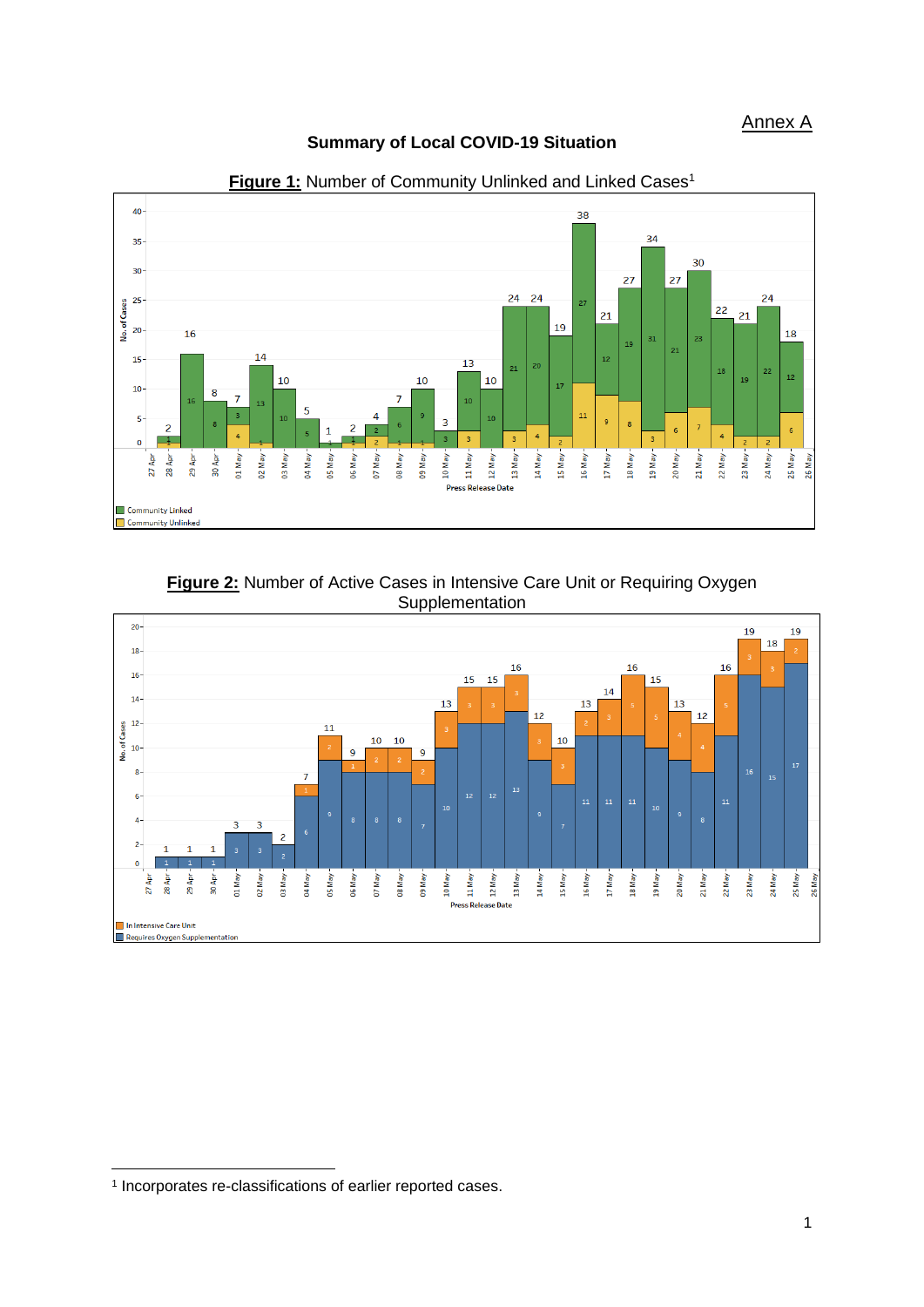#### **Summary of Local COVID-19 Situation**



Figure 1: Number of Community Unlinked and Linked Cases<sup>1</sup>

**Figure 2:** Number of Active Cases in Intensive Care Unit or Requiring Oxygen **Supplementation** 



**.** 

<sup>1</sup> Incorporates re-classifications of earlier reported cases.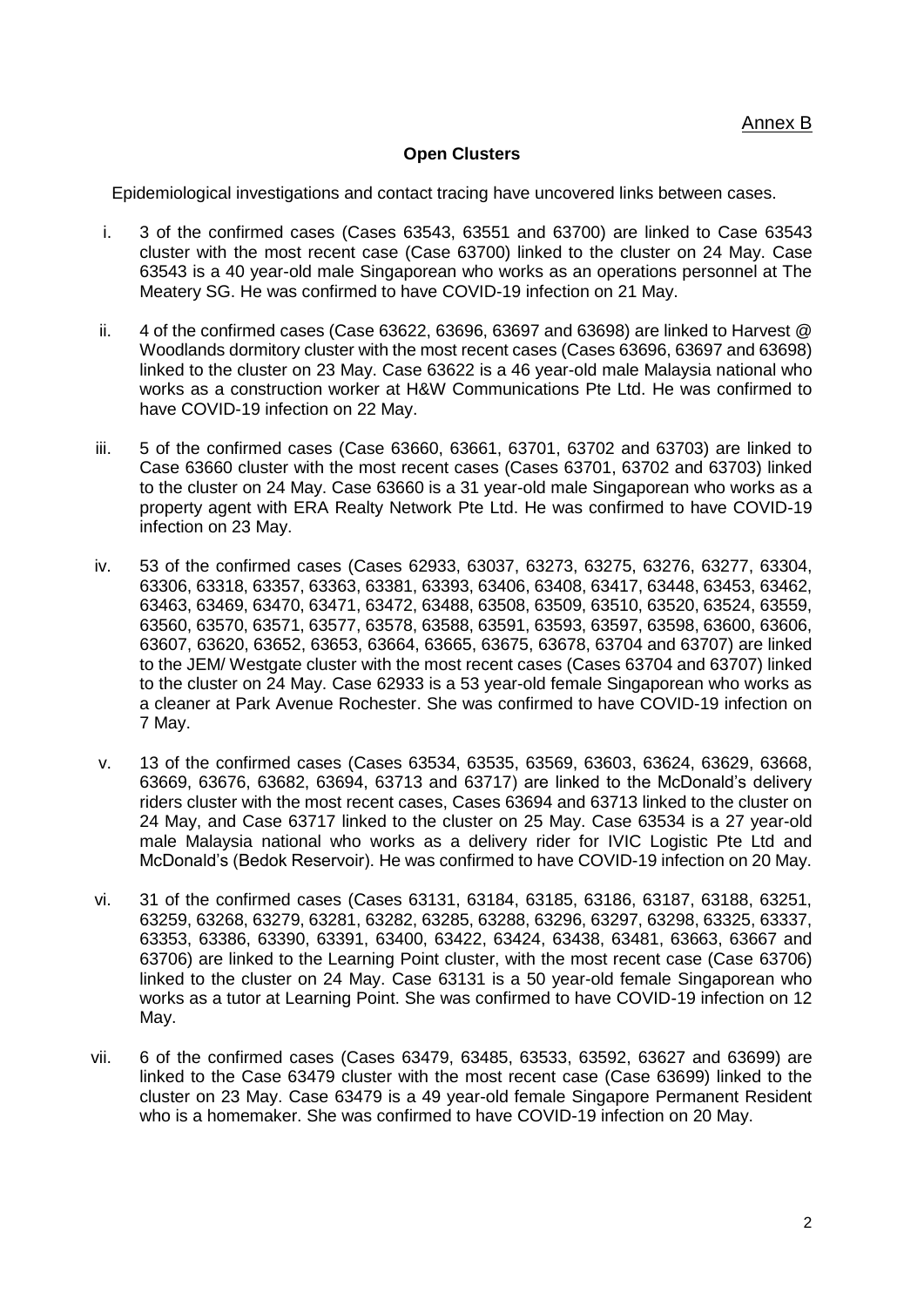#### **Open Clusters**

Epidemiological investigations and contact tracing have uncovered links between cases.

- i. 3 of the confirmed cases (Cases 63543, 63551 and 63700) are linked to Case 63543 cluster with the most recent case (Case 63700) linked to the cluster on 24 May. Case 63543 is a 40 year-old male Singaporean who works as an operations personnel at The Meatery SG. He was confirmed to have COVID-19 infection on 21 May.
- ii. 4 of the confirmed cases (Case 63622, 63696, 63697 and 63698) are linked to Harvest @ Woodlands dormitory cluster with the most recent cases (Cases 63696, 63697 and 63698) linked to the cluster on 23 May. Case 63622 is a 46 year-old male Malaysia national who works as a construction worker at H&W Communications Pte Ltd. He was confirmed to have COVID-19 infection on 22 May.
- iii. 5 of the confirmed cases (Case 63660, 63661, 63701, 63702 and 63703) are linked to Case 63660 cluster with the most recent cases (Cases 63701, 63702 and 63703) linked to the cluster on 24 May. Case 63660 is a 31 year-old male Singaporean who works as a property agent with ERA Realty Network Pte Ltd. He was confirmed to have COVID-19 infection on 23 May.
- iv. 53 of the confirmed cases (Cases 62933, 63037, 63273, 63275, 63276, 63277, 63304, 63306, 63318, 63357, 63363, 63381, 63393, 63406, 63408, 63417, 63448, 63453, 63462, 63463, 63469, 63470, 63471, 63472, 63488, 63508, 63509, 63510, 63520, 63524, 63559, 63560, 63570, 63571, 63577, 63578, 63588, 63591, 63593, 63597, 63598, 63600, 63606, 63607, 63620, 63652, 63653, 63664, 63665, 63675, 63678, 63704 and 63707) are linked to the JEM/ Westgate cluster with the most recent cases (Cases 63704 and 63707) linked to the cluster on 24 May. Case 62933 is a 53 year-old female Singaporean who works as a cleaner at Park Avenue Rochester. She was confirmed to have COVID-19 infection on 7 May.
- v. 13 of the confirmed cases (Cases 63534, 63535, 63569, 63603, 63624, 63629, 63668, 63669, 63676, 63682, 63694, 63713 and 63717) are linked to the McDonald's delivery riders cluster with the most recent cases, Cases 63694 and 63713 linked to the cluster on 24 May, and Case 63717 linked to the cluster on 25 May. Case 63534 is a 27 year-old male Malaysia national who works as a delivery rider for IVIC Logistic Pte Ltd and McDonald's (Bedok Reservoir). He was confirmed to have COVID-19 infection on 20 May.
- vi. 31 of the confirmed cases (Cases 63131, 63184, 63185, 63186, 63187, 63188, 63251, 63259, 63268, 63279, 63281, 63282, 63285, 63288, 63296, 63297, 63298, 63325, 63337, 63353, 63386, 63390, 63391, 63400, 63422, 63424, 63438, 63481, 63663, 63667 and 63706) are linked to the Learning Point cluster, with the most recent case (Case 63706) linked to the cluster on 24 May. Case 63131 is a 50 year-old female Singaporean who works as a tutor at Learning Point. She was confirmed to have COVID-19 infection on 12 May.
- vii. 6 of the confirmed cases (Cases 63479, 63485, 63533, 63592, 63627 and 63699) are linked to the Case 63479 cluster with the most recent case (Case 63699) linked to the cluster on 23 May. Case 63479 is a 49 year-old female Singapore Permanent Resident who is a homemaker. She was confirmed to have COVID-19 infection on 20 May.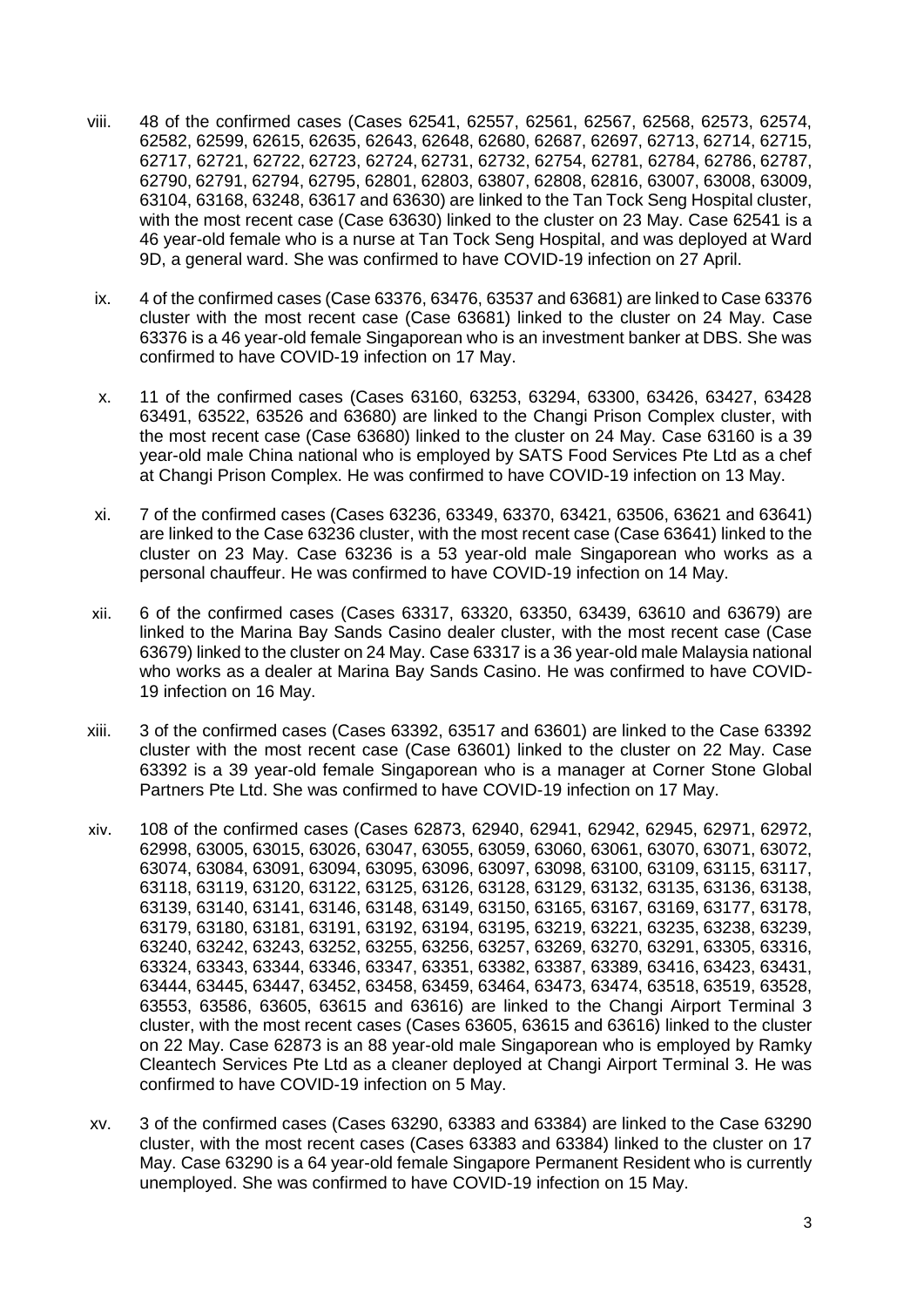- viii. 48 of the confirmed cases (Cases 62541, 62557, 62561, 62567, 62568, 62573, 62574, 62582, 62599, 62615, 62635, 62643, 62648, 62680, 62687, 62697, 62713, 62714, 62715, 62717, 62721, 62722, 62723, 62724, 62731, 62732, 62754, 62781, 62784, 62786, 62787, 62790, 62791, 62794, 62795, 62801, 62803, 63807, 62808, 62816, 63007, 63008, 63009, 63104, 63168, 63248, 63617 and 63630) are linked to the Tan Tock Seng Hospital cluster, with the most recent case (Case 63630) linked to the cluster on 23 May. Case 62541 is a 46 year-old female who is a nurse at Tan Tock Seng Hospital, and was deployed at Ward 9D, a general ward. She was confirmed to have COVID-19 infection on 27 April.
- ix. 4 of the confirmed cases (Case 63376, 63476, 63537 and 63681) are linked to Case 63376 cluster with the most recent case (Case 63681) linked to the cluster on 24 May. Case 63376 is a 46 year-old female Singaporean who is an investment banker at DBS. She was confirmed to have COVID-19 infection on 17 May.
- x. 11 of the confirmed cases (Cases 63160, 63253, 63294, 63300, 63426, 63427, 63428 63491, 63522, 63526 and 63680) are linked to the Changi Prison Complex cluster, with the most recent case (Case 63680) linked to the cluster on 24 May. Case 63160 is a 39 year-old male China national who is employed by SATS Food Services Pte Ltd as a chef at Changi Prison Complex. He was confirmed to have COVID-19 infection on 13 May.
- xi. 7 of the confirmed cases (Cases 63236, 63349, 63370, 63421, 63506, 63621 and 63641) are linked to the Case 63236 cluster, with the most recent case (Case 63641) linked to the cluster on 23 May. Case 63236 is a 53 year-old male Singaporean who works as a personal chauffeur. He was confirmed to have COVID-19 infection on 14 May.
- xii. 6 of the confirmed cases (Cases 63317, 63320, 63350, 63439, 63610 and 63679) are linked to the Marina Bay Sands Casino dealer cluster, with the most recent case (Case 63679) linked to the cluster on 24 May. Case 63317 is a 36 year-old male Malaysia national who works as a dealer at Marina Bay Sands Casino. He was confirmed to have COVID-19 infection on 16 May.
- xiii. 3 of the confirmed cases (Cases 63392, 63517 and 63601) are linked to the Case 63392 cluster with the most recent case (Case 63601) linked to the cluster on 22 May. Case 63392 is a 39 year-old female Singaporean who is a manager at Corner Stone Global Partners Pte Ltd. She was confirmed to have COVID-19 infection on 17 May.
- xiv. 108 of the confirmed cases (Cases 62873, 62940, 62941, 62942, 62945, 62971, 62972, 62998, 63005, 63015, 63026, 63047, 63055, 63059, 63060, 63061, 63070, 63071, 63072, 63074, 63084, 63091, 63094, 63095, 63096, 63097, 63098, 63100, 63109, 63115, 63117, 63118, 63119, 63120, 63122, 63125, 63126, 63128, 63129, 63132, 63135, 63136, 63138, 63139, 63140, 63141, 63146, 63148, 63149, 63150, 63165, 63167, 63169, 63177, 63178, 63179, 63180, 63181, 63191, 63192, 63194, 63195, 63219, 63221, 63235, 63238, 63239, 63240, 63242, 63243, 63252, 63255, 63256, 63257, 63269, 63270, 63291, 63305, 63316, 63324, 63343, 63344, 63346, 63347, 63351, 63382, 63387, 63389, 63416, 63423, 63431, 63444, 63445, 63447, 63452, 63458, 63459, 63464, 63473, 63474, 63518, 63519, 63528, 63553, 63586, 63605, 63615 and 63616) are linked to the Changi Airport Terminal 3 cluster, with the most recent cases (Cases 63605, 63615 and 63616) linked to the cluster on 22 May. Case 62873 is an 88 year-old male Singaporean who is employed by Ramky Cleantech Services Pte Ltd as a cleaner deployed at Changi Airport Terminal 3. He was confirmed to have COVID-19 infection on 5 May.
- xv. 3 of the confirmed cases (Cases 63290, 63383 and 63384) are linked to the Case 63290 cluster, with the most recent cases (Cases 63383 and 63384) linked to the cluster on 17 May. Case 63290 is a 64 year-old female Singapore Permanent Resident who is currently unemployed. She was confirmed to have COVID-19 infection on 15 May.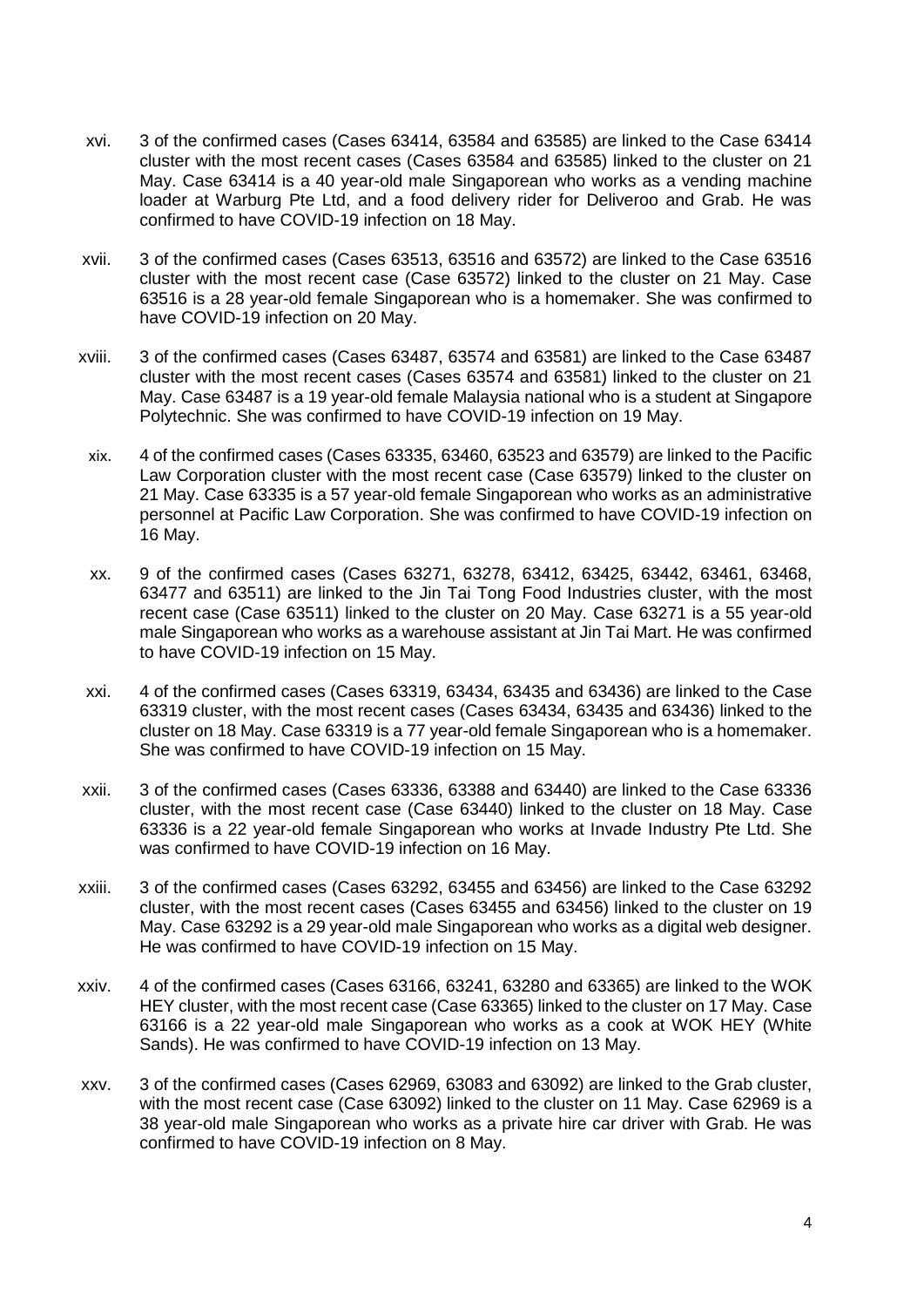- xvi. 3 of the confirmed cases (Cases 63414, 63584 and 63585) are linked to the Case 63414 cluster with the most recent cases (Cases 63584 and 63585) linked to the cluster on 21 May. Case 63414 is a 40 year-old male Singaporean who works as a vending machine loader at Warburg Pte Ltd, and a food delivery rider for Deliveroo and Grab. He was confirmed to have COVID-19 infection on 18 May.
- xvii. 3 of the confirmed cases (Cases 63513, 63516 and 63572) are linked to the Case 63516 cluster with the most recent case (Case 63572) linked to the cluster on 21 May. Case 63516 is a 28 year-old female Singaporean who is a homemaker. She was confirmed to have COVID-19 infection on 20 May.
- xviii. 3 of the confirmed cases (Cases 63487, 63574 and 63581) are linked to the Case 63487 cluster with the most recent cases (Cases 63574 and 63581) linked to the cluster on 21 May. Case 63487 is a 19 year-old female Malaysia national who is a student at Singapore Polytechnic. She was confirmed to have COVID-19 infection on 19 May.
- xix. 4 of the confirmed cases (Cases 63335, 63460, 63523 and 63579) are linked to the Pacific Law Corporation cluster with the most recent case (Case 63579) linked to the cluster on 21 May. Case 63335 is a 57 year-old female Singaporean who works as an administrative personnel at Pacific Law Corporation. She was confirmed to have COVID-19 infection on 16 May.
- xx. 9 of the confirmed cases (Cases 63271, 63278, 63412, 63425, 63442, 63461, 63468, 63477 and 63511) are linked to the Jin Tai Tong Food Industries cluster, with the most recent case (Case 63511) linked to the cluster on 20 May. Case 63271 is a 55 year-old male Singaporean who works as a warehouse assistant at Jin Tai Mart. He was confirmed to have COVID-19 infection on 15 May.
- xxi. 4 of the confirmed cases (Cases 63319, 63434, 63435 and 63436) are linked to the Case 63319 cluster, with the most recent cases (Cases 63434, 63435 and 63436) linked to the cluster on 18 May. Case 63319 is a 77 year-old female Singaporean who is a homemaker. She was confirmed to have COVID-19 infection on 15 May.
- xxii. 3 of the confirmed cases (Cases 63336, 63388 and 63440) are linked to the Case 63336 cluster, with the most recent case (Case 63440) linked to the cluster on 18 May. Case 63336 is a 22 year-old female Singaporean who works at Invade Industry Pte Ltd. She was confirmed to have COVID-19 infection on 16 May.
- xxiii. 3 of the confirmed cases (Cases 63292, 63455 and 63456) are linked to the Case 63292 cluster, with the most recent cases (Cases 63455 and 63456) linked to the cluster on 19 May. Case 63292 is a 29 year-old male Singaporean who works as a digital web designer. He was confirmed to have COVID-19 infection on 15 May.
- xxiv. 4 of the confirmed cases (Cases 63166, 63241, 63280 and 63365) are linked to the WOK HEY cluster, with the most recent case (Case 63365) linked to the cluster on 17 May. Case 63166 is a 22 year-old male Singaporean who works as a cook at WOK HEY (White Sands). He was confirmed to have COVID-19 infection on 13 May.
- xxv. 3 of the confirmed cases (Cases 62969, 63083 and 63092) are linked to the Grab cluster, with the most recent case (Case 63092) linked to the cluster on 11 May. Case 62969 is a 38 year-old male Singaporean who works as a private hire car driver with Grab. He was confirmed to have COVID-19 infection on 8 May.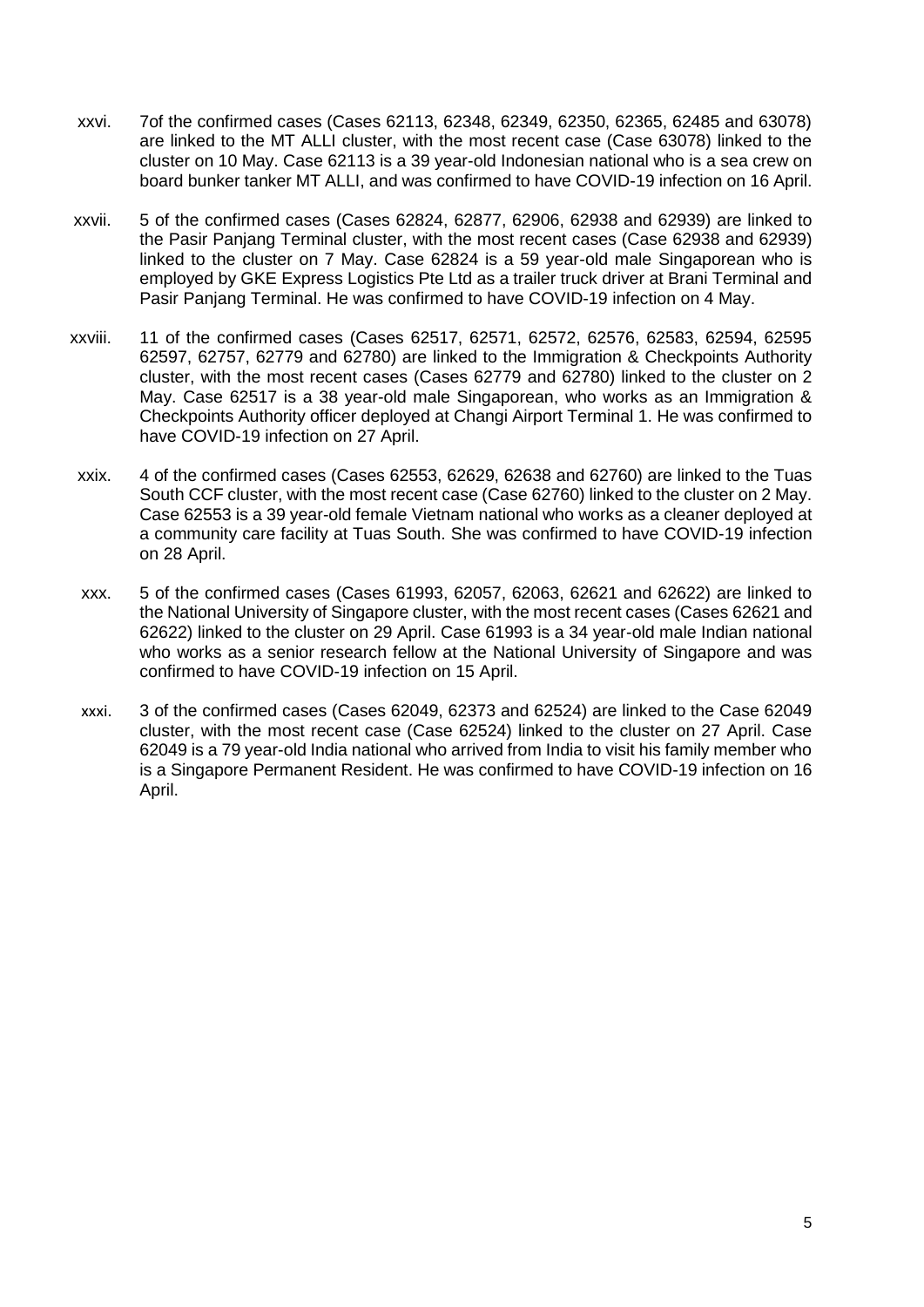- xxvi. 7of the confirmed cases (Cases 62113, 62348, 62349, 62350, 62365, 62485 and 63078) are linked to the MT ALLI cluster, with the most recent case (Case 63078) linked to the cluster on 10 May. Case 62113 is a 39 year-old Indonesian national who is a sea crew on board bunker tanker MT ALLI, and was confirmed to have COVID-19 infection on 16 April.
- xxvii. 5 of the confirmed cases (Cases 62824, 62877, 62906, 62938 and 62939) are linked to the Pasir Panjang Terminal cluster, with the most recent cases (Case 62938 and 62939) linked to the cluster on 7 May. Case 62824 is a 59 year-old male Singaporean who is employed by GKE Express Logistics Pte Ltd as a trailer truck driver at Brani Terminal and Pasir Panjang Terminal. He was confirmed to have COVID-19 infection on 4 May.
- xxviii. 11 of the confirmed cases (Cases 62517, 62571, 62572, 62576, 62583, 62594, 62595 62597, 62757, 62779 and 62780) are linked to the Immigration & Checkpoints Authority cluster, with the most recent cases (Cases 62779 and 62780) linked to the cluster on 2 May. Case 62517 is a 38 year-old male Singaporean, who works as an Immigration & Checkpoints Authority officer deployed at Changi Airport Terminal 1. He was confirmed to have COVID-19 infection on 27 April.
- xxix. 4 of the confirmed cases (Cases 62553, 62629, 62638 and 62760) are linked to the Tuas South CCF cluster, with the most recent case (Case 62760) linked to the cluster on 2 May. Case 62553 is a 39 year-old female Vietnam national who works as a cleaner deployed at a community care facility at Tuas South. She was confirmed to have COVID-19 infection on 28 April.
- xxx. 5 of the confirmed cases (Cases 61993, 62057, 62063, 62621 and 62622) are linked to the National University of Singapore cluster, with the most recent cases (Cases 62621 and 62622) linked to the cluster on 29 April. Case 61993 is a 34 year-old male Indian national who works as a senior research fellow at the National University of Singapore and was confirmed to have COVID-19 infection on 15 April.
- xxxi. 3 of the confirmed cases (Cases 62049, 62373 and 62524) are linked to the Case 62049 cluster, with the most recent case (Case 62524) linked to the cluster on 27 April. Case 62049 is a 79 year-old India national who arrived from India to visit his family member who is a Singapore Permanent Resident. He was confirmed to have COVID-19 infection on 16 April.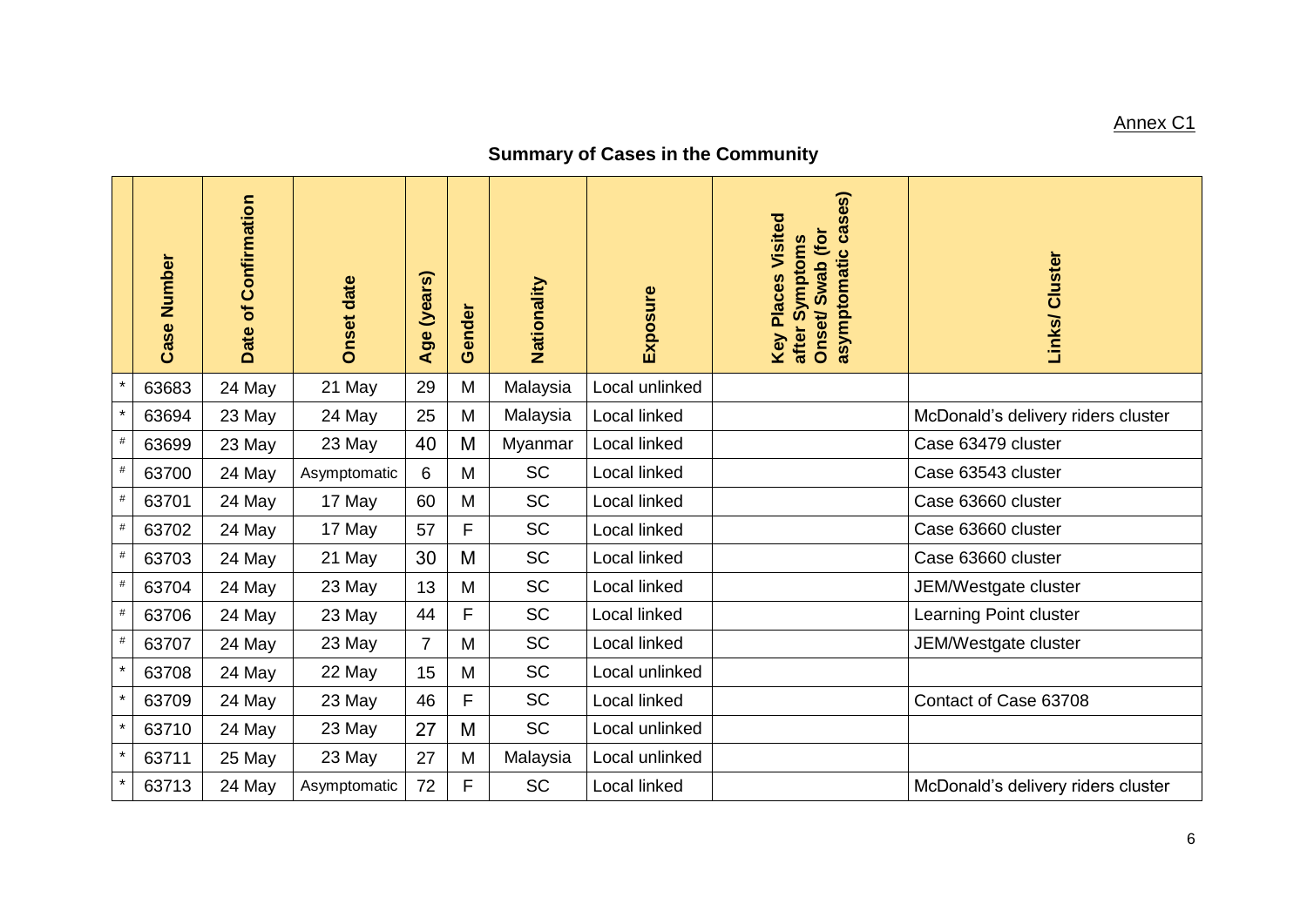# Annex C1

# **Summary of Cases in the Community**

|         | <b>Case Number</b> | Date of Confirmation | <b>Onset date</b> | (years)<br>Age | Gender | Nationality | Exposure            | asymptomatic cases)<br><b>Key Places Visited</b><br>Onset/Swab (for<br>after Symptoms | Links/ Cluster                     |
|---------|--------------------|----------------------|-------------------|----------------|--------|-------------|---------------------|---------------------------------------------------------------------------------------|------------------------------------|
| $\star$ | 63683              | 24 May               | 21 May            | 29             | M      | Malaysia    | Local unlinked      |                                                                                       |                                    |
| $\star$ | 63694              | 23 May               | 24 May            | 25             | M      | Malaysia    | <b>Local linked</b> |                                                                                       | McDonald's delivery riders cluster |
| $\#$    | 63699              | 23 May               | 23 May            | 40             | M      | Myanmar     | Local linked        |                                                                                       | Case 63479 cluster                 |
| $\#$    | 63700              | 24 May               | Asymptomatic      | 6              | M      | <b>SC</b>   | Local linked        |                                                                                       | Case 63543 cluster                 |
| $\#$    | 63701              | 24 May               | 17 May            | 60             | M      | <b>SC</b>   | Local linked        |                                                                                       | Case 63660 cluster                 |
| $\#$    | 63702              | 24 May               | 17 May            | 57             | F      | SC          | Local linked        |                                                                                       | Case 63660 cluster                 |
| $\#$    | 63703              | 24 May               | 21 May            | 30             | M      | <b>SC</b>   | Local linked        |                                                                                       | Case 63660 cluster                 |
| $\#$    | 63704              | 24 May               | 23 May            | 13             | M      | <b>SC</b>   | Local linked        |                                                                                       | JEM/Westgate cluster               |
| $\#$    | 63706              | 24 May               | 23 May            | 44             | F      | <b>SC</b>   | Local linked        |                                                                                       | Learning Point cluster             |
| $\#$    | 63707              | 24 May               | 23 May            | $\overline{7}$ | M      | <b>SC</b>   | Local linked        |                                                                                       | JEM/Westgate cluster               |
| $\star$ | 63708              | 24 May               | 22 May            | 15             | M      | <b>SC</b>   | Local unlinked      |                                                                                       |                                    |
| $\star$ | 63709              | 24 May               | 23 May            | 46             | F      | <b>SC</b>   | Local linked        |                                                                                       | Contact of Case 63708              |
| $\star$ | 63710              | 24 May               | 23 May            | 27             | M      | <b>SC</b>   | Local unlinked      |                                                                                       |                                    |
| $\star$ | 63711              | 25 May               | 23 May            | 27             | M      | Malaysia    | Local unlinked      |                                                                                       |                                    |
| $\star$ | 63713              | 24 May               | Asymptomatic      | 72             | F      | <b>SC</b>   | Local linked        |                                                                                       | McDonald's delivery riders cluster |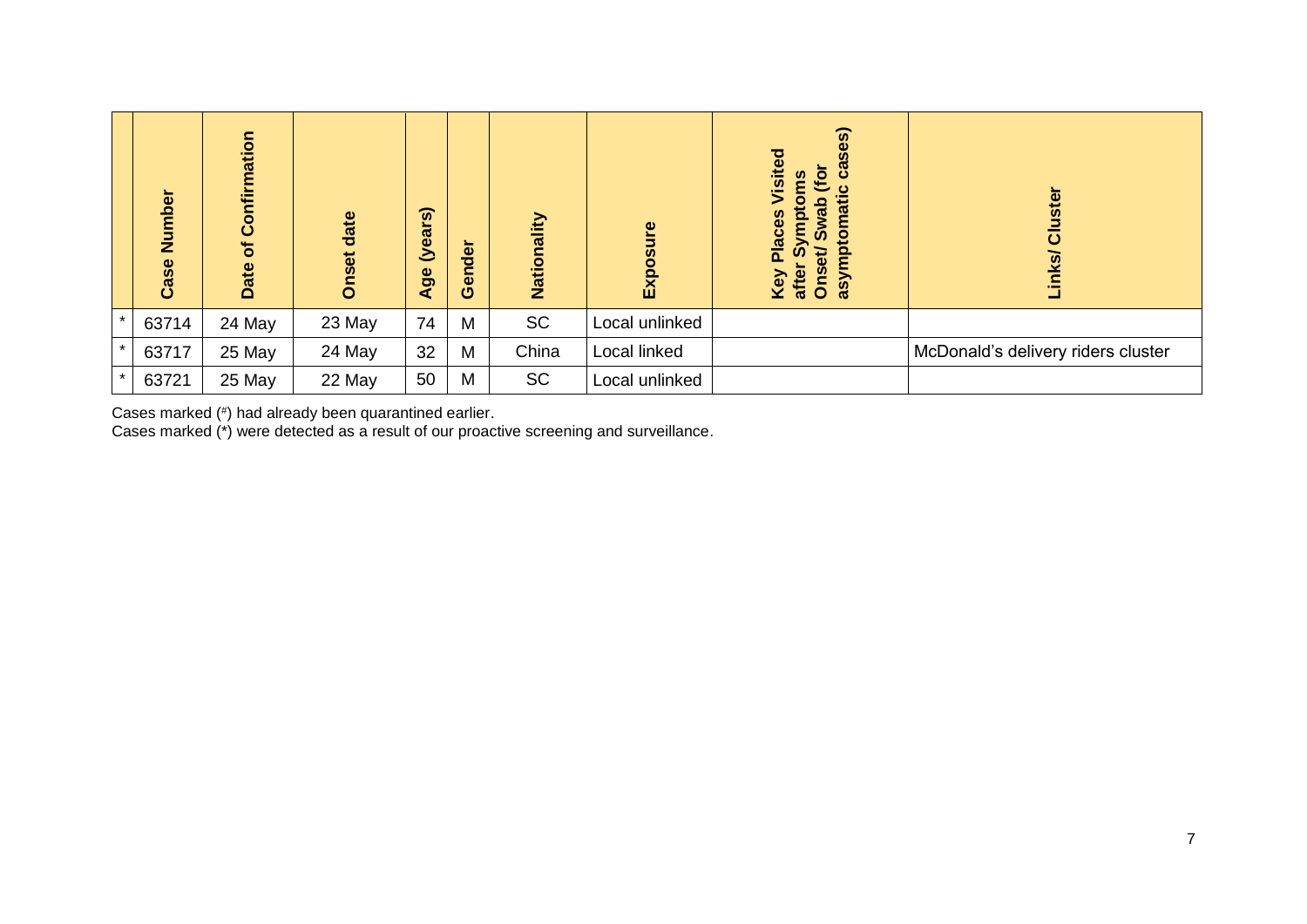|         | Number<br>Case | nation<br>Confir<br>$\sigma$<br>Date | date<br>Onset | $\widehat{\boldsymbol{\omega}}$<br>(year:<br>Age | Gender | Nationality | Exposure       | cases)<br>Visite<br>(for<br>eu<br>$\mathbf c$<br>asymptomati<br>Sympto<br>de<br><b>Places</b><br>Ŵ,<br>Onset<br>after<br>Key | <b>Ister</b><br>$\bar{\bar{\mathbf{o}}}$<br>Links/ |
|---------|----------------|--------------------------------------|---------------|--------------------------------------------------|--------|-------------|----------------|------------------------------------------------------------------------------------------------------------------------------|----------------------------------------------------|
| $\star$ | 63714          | 24 May                               | 23 May        | 74                                               | M      | <b>SC</b>   | Local unlinked |                                                                                                                              |                                                    |
| $\star$ | 63717          | 25 May                               | 24 May        | 32                                               | M      | China       | Local linked   |                                                                                                                              | McDonald's delivery riders cluster                 |
| $\star$ | 63721          | 25 May                               | 22 May        | 50                                               | M      | <b>SC</b>   | Local unlinked |                                                                                                                              |                                                    |

Cases marked (# ) had already been quarantined earlier.

Cases marked (\*) were detected as a result of our proactive screening and surveillance.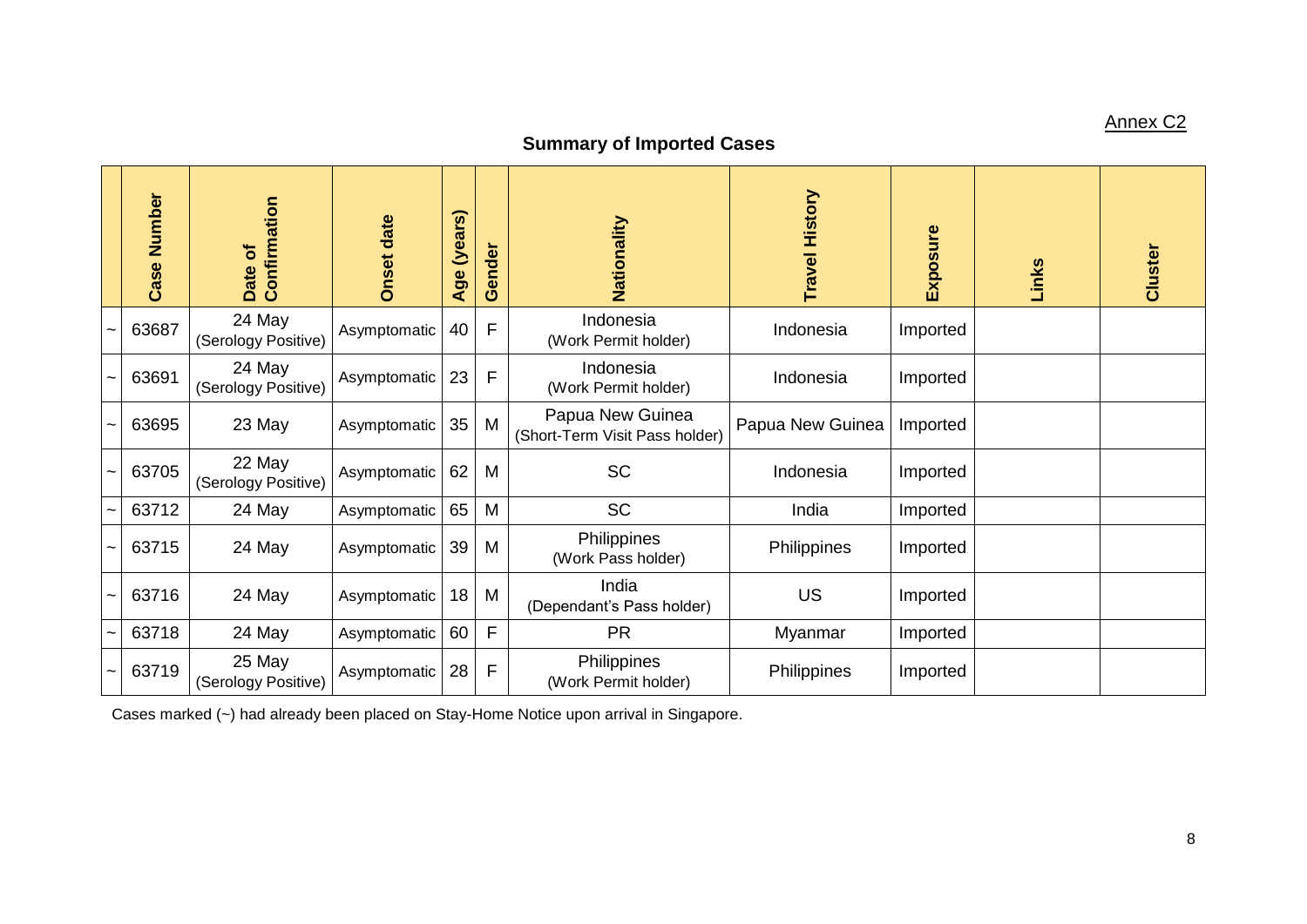# Annex C2

# **Summary of Imported Cases**

| Number<br>Case | Confirmation<br>Date of       | <b>Onset date</b> | (years)<br>Age | ender<br>Õ  | Nationality                                        | <b>Travel History</b> | Exposure | Links | Cluster |
|----------------|-------------------------------|-------------------|----------------|-------------|----------------------------------------------------|-----------------------|----------|-------|---------|
| 63687          | 24 May<br>(Serology Positive) | Asymptomatic      | 40             | F           | Indonesia<br>(Work Permit holder)                  | Indonesia             | Imported |       |         |
| 63691          | 24 May<br>(Serology Positive) | Asymptomatic      | 23             | F           | Indonesia<br>(Work Permit holder)                  | Indonesia             | Imported |       |         |
| 63695          | 23 May                        | Asymptomatic      | 35             | M           | Papua New Guinea<br>(Short-Term Visit Pass holder) | Papua New Guinea      | Imported |       |         |
| 63705          | 22 May<br>(Serology Positive) | Asymptomatic      | 62             | M           | <b>SC</b>                                          | Indonesia             | Imported |       |         |
| 63712          | 24 May                        | Asymptomatic      | 65             | M           | <b>SC</b>                                          | India                 | Imported |       |         |
| 63715          | 24 May                        | Asymptomatic      | 39             | M           | Philippines<br>(Work Pass holder)                  | Philippines           | Imported |       |         |
| 63716          | 24 May                        | Asymptomatic      | 18             | M           | India<br>(Dependant's Pass holder)                 | <b>US</b>             | Imported |       |         |
| 63718          | 24 May                        | Asymptomatic      | 60             | $\mathsf F$ | <b>PR</b>                                          | Myanmar               | Imported |       |         |
| 63719          | 25 May<br>(Serology Positive) | Asymptomatic      | 28             | F           | Philippines<br>(Work Permit holder)                | Philippines           | Imported |       |         |

Cases marked (~) had already been placed on Stay-Home Notice upon arrival in Singapore.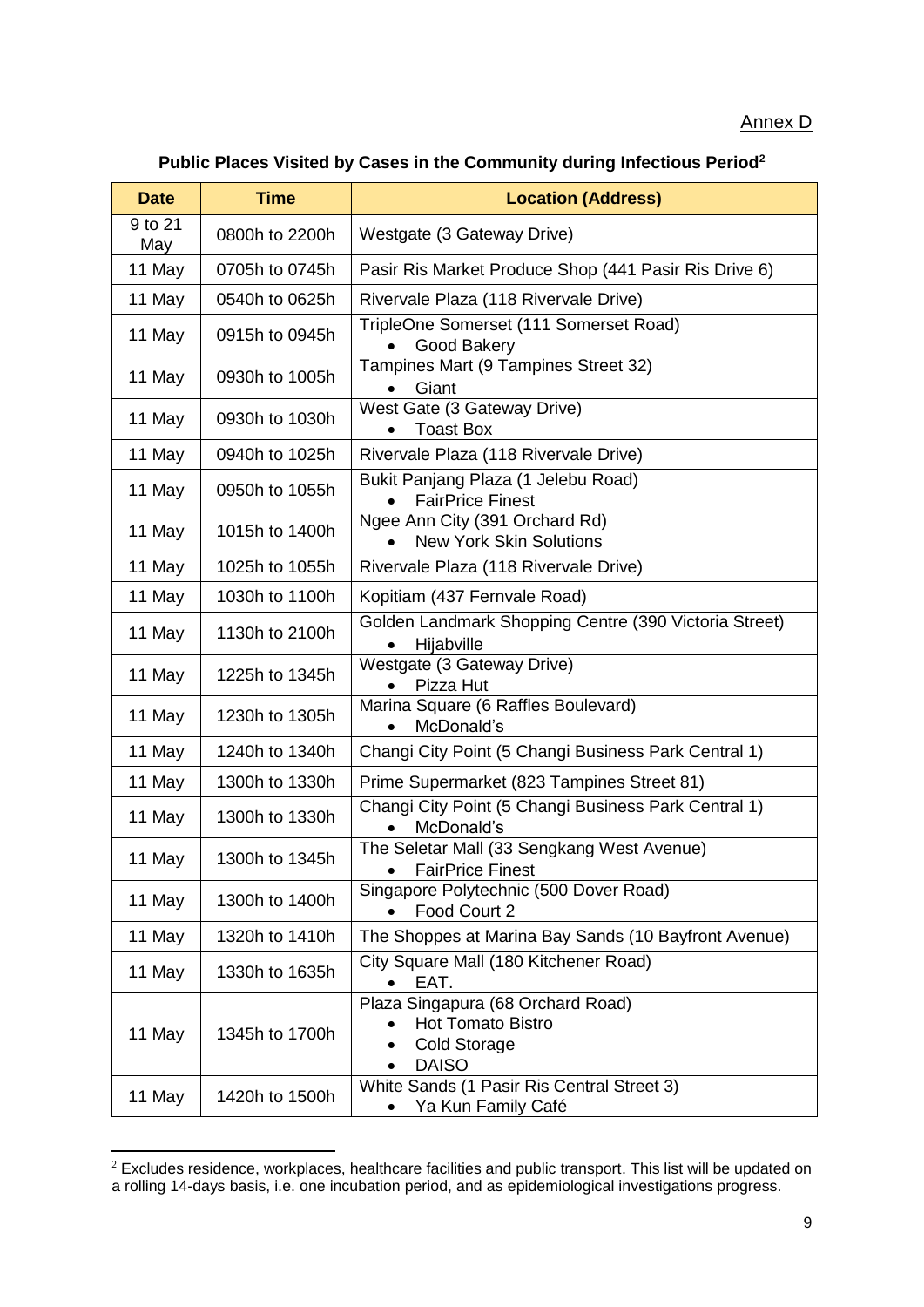#### Annex D

| Public Places Visited by Cases in the Community during Infectious Period <sup>2</sup> |  |  |  |  |  |  |
|---------------------------------------------------------------------------------------|--|--|--|--|--|--|
|---------------------------------------------------------------------------------------|--|--|--|--|--|--|

| <b>Date</b>    | <b>Time</b>    | <b>Location (Address)</b>                                                                            |
|----------------|----------------|------------------------------------------------------------------------------------------------------|
| 9 to 21<br>May | 0800h to 2200h | Westgate (3 Gateway Drive)                                                                           |
| 11 May         | 0705h to 0745h | Pasir Ris Market Produce Shop (441 Pasir Ris Drive 6)                                                |
| 11 May         | 0540h to 0625h | Rivervale Plaza (118 Rivervale Drive)                                                                |
| 11 May         | 0915h to 0945h | TripleOne Somerset (111 Somerset Road)<br>Good Bakery                                                |
| 11 May         | 0930h to 1005h | Tampines Mart (9 Tampines Street 32)<br>Giant                                                        |
| 11 May         | 0930h to 1030h | West Gate (3 Gateway Drive)<br><b>Toast Box</b>                                                      |
| 11 May         | 0940h to 1025h | Rivervale Plaza (118 Rivervale Drive)                                                                |
| 11 May         | 0950h to 1055h | Bukit Panjang Plaza (1 Jelebu Road)<br><b>FairPrice Finest</b>                                       |
| 11 May         | 1015h to 1400h | Ngee Ann City (391 Orchard Rd)<br><b>New York Skin Solutions</b>                                     |
| 11 May         | 1025h to 1055h | Rivervale Plaza (118 Rivervale Drive)                                                                |
| 11 May         | 1030h to 1100h | Kopitiam (437 Fernvale Road)                                                                         |
| 11 May         | 1130h to 2100h | Golden Landmark Shopping Centre (390 Victoria Street)<br>Hijabville                                  |
| 11 May         | 1225h to 1345h | Westgate (3 Gateway Drive)<br>Pizza Hut                                                              |
| 11 May         | 1230h to 1305h | Marina Square (6 Raffles Boulevard)<br>McDonald's                                                    |
| 11 May         | 1240h to 1340h | Changi City Point (5 Changi Business Park Central 1)                                                 |
| 11 May         | 1300h to 1330h | Prime Supermarket (823 Tampines Street 81)                                                           |
| 11 May         | 1300h to 1330h | Changi City Point (5 Changi Business Park Central 1)<br>McDonald's                                   |
| 11 May         | 1300h to 1345h | The Seletar Mall (33 Sengkang West Avenue)<br><b>FairPrice Finest</b>                                |
| 11 May         | 1300h to 1400h | Singapore Polytechnic (500 Dover Road)<br>Food Court 2                                               |
| 11 May         | 1320h to 1410h | The Shoppes at Marina Bay Sands (10 Bayfront Avenue)                                                 |
| 11 May         | 1330h to 1635h | City Square Mall (180 Kitchener Road)<br>EAT.                                                        |
| 11 May         | 1345h to 1700h | Plaza Singapura (68 Orchard Road)<br><b>Hot Tomato Bistro</b><br><b>Cold Storage</b><br><b>DAISO</b> |
| 11 May         | 1420h to 1500h | White Sands (1 Pasir Ris Central Street 3)<br>Ya Kun Family Café<br>$\bullet$                        |

 $2$  Excludes residence, workplaces, healthcare facilities and public transport. This list will be updated on a rolling 14-days basis, i.e. one incubation period, and as epidemiological investigations progress.

**.**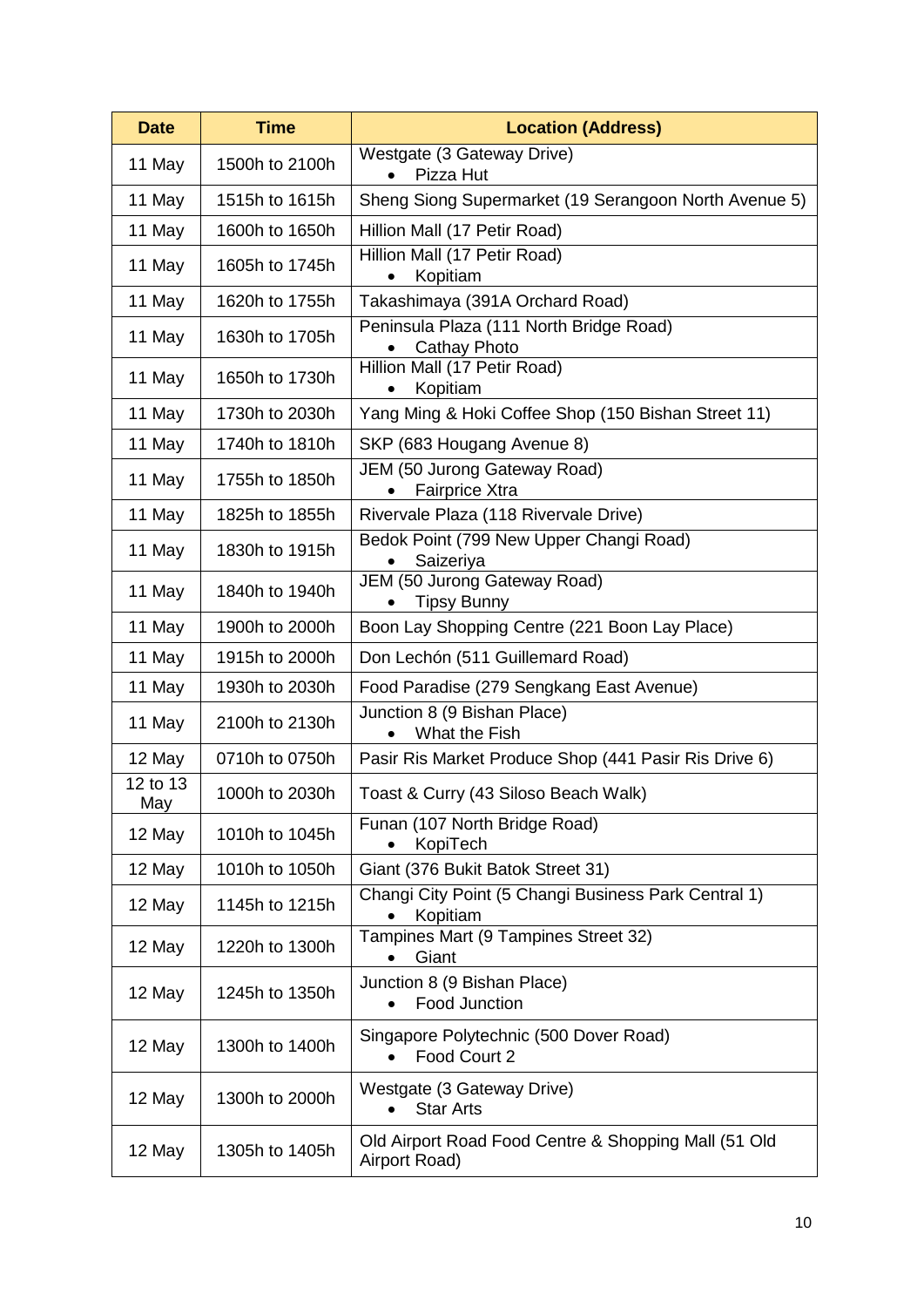| <b>Date</b>     | <b>Time</b>    | <b>Location (Address)</b>                                             |
|-----------------|----------------|-----------------------------------------------------------------------|
| 11 May          | 1500h to 2100h | Westgate (3 Gateway Drive)<br>Pizza Hut                               |
| 11 May          | 1515h to 1615h | Sheng Siong Supermarket (19 Serangoon North Avenue 5)                 |
| 11 May          | 1600h to 1650h | Hillion Mall (17 Petir Road)                                          |
| 11 May          | 1605h to 1745h | Hillion Mall (17 Petir Road)<br>Kopitiam                              |
| 11 May          | 1620h to 1755h | Takashimaya (391A Orchard Road)                                       |
| 11 May          | 1630h to 1705h | Peninsula Plaza (111 North Bridge Road)<br><b>Cathay Photo</b>        |
| 11 May          | 1650h to 1730h | Hillion Mall (17 Petir Road)<br>Kopitiam                              |
| 11 May          | 1730h to 2030h | Yang Ming & Hoki Coffee Shop (150 Bishan Street 11)                   |
| 11 May          | 1740h to 1810h | SKP (683 Hougang Avenue 8)                                            |
| 11 May          | 1755h to 1850h | JEM (50 Jurong Gateway Road)<br><b>Fairprice Xtra</b>                 |
| 11 May          | 1825h to 1855h | Rivervale Plaza (118 Rivervale Drive)                                 |
| 11 May          | 1830h to 1915h | Bedok Point (799 New Upper Changi Road)<br>Saizeriya                  |
| 11 May          | 1840h to 1940h | JEM (50 Jurong Gateway Road)<br><b>Tipsy Bunny</b>                    |
| 11 May          | 1900h to 2000h | Boon Lay Shopping Centre (221 Boon Lay Place)                         |
| 11 May          | 1915h to 2000h | Don Lechón (511 Guillemard Road)                                      |
| 11 May          | 1930h to 2030h | Food Paradise (279 Sengkang East Avenue)                              |
| 11 May          | 2100h to 2130h | Junction 8 (9 Bishan Place)<br>What the Fish                          |
| 12 May          | 0710h to 0750h | Pasir Ris Market Produce Shop (441 Pasir Ris Drive 6)                 |
| 12 to 13<br>May | 1000h to 2030h | Toast & Curry (43 Siloso Beach Walk)                                  |
| 12 May          | 1010h to 1045h | Funan (107 North Bridge Road)<br>KopiTech                             |
| 12 May          | 1010h to 1050h | Giant (376 Bukit Batok Street 31)                                     |
| 12 May          | 1145h to 1215h | Changi City Point (5 Changi Business Park Central 1)<br>Kopitiam      |
| 12 May          | 1220h to 1300h | Tampines Mart (9 Tampines Street 32)<br>Giant                         |
| 12 May          | 1245h to 1350h | Junction 8 (9 Bishan Place)<br><b>Food Junction</b>                   |
| 12 May          | 1300h to 1400h | Singapore Polytechnic (500 Dover Road)<br>Food Court 2<br>$\bullet$   |
| 12 May          | 1300h to 2000h | Westgate (3 Gateway Drive)<br><b>Star Arts</b>                        |
| 12 May          | 1305h to 1405h | Old Airport Road Food Centre & Shopping Mall (51 Old<br>Airport Road) |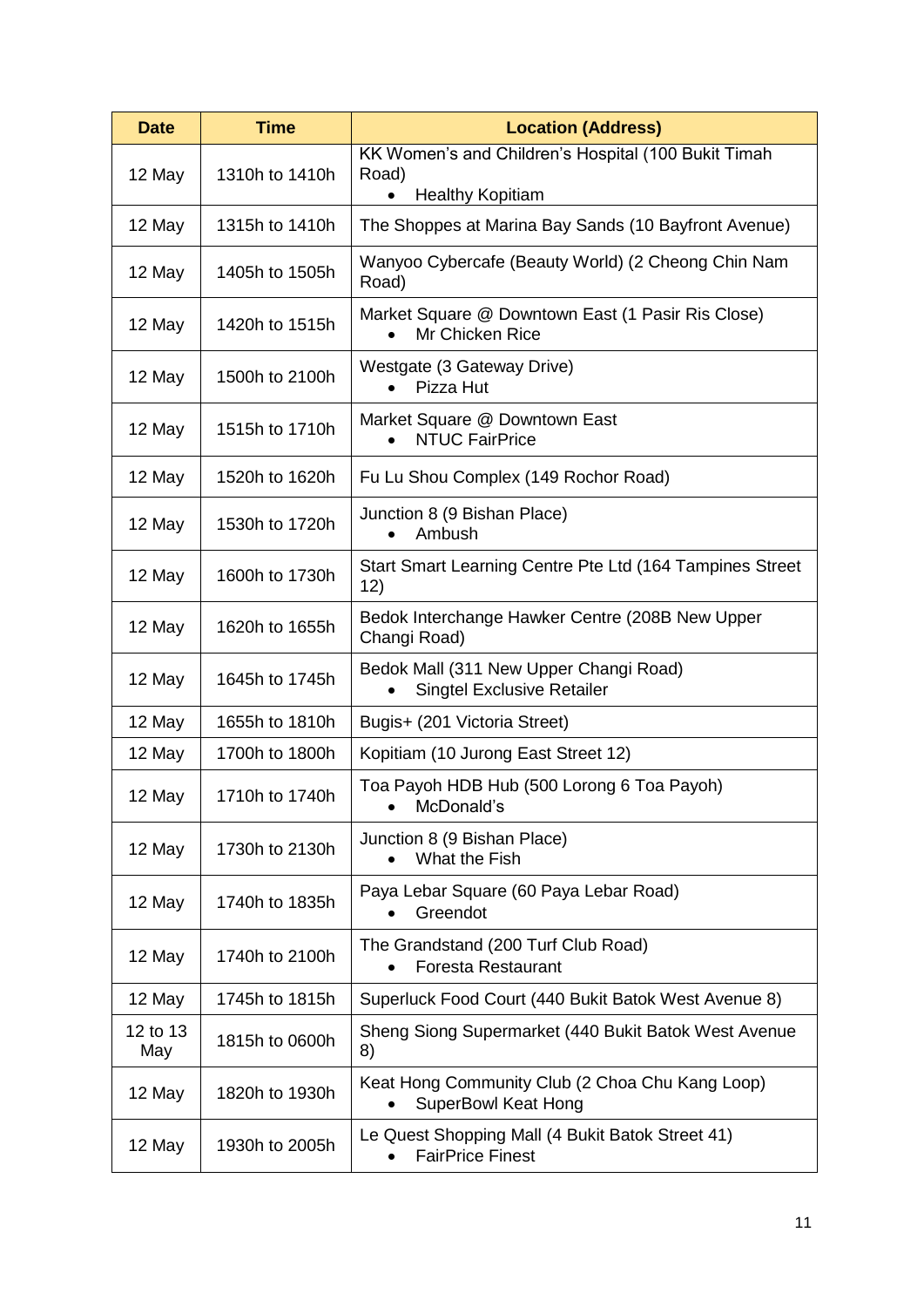| <b>Time</b><br><b>Date</b> |                | <b>Location (Address)</b>                                                     |
|----------------------------|----------------|-------------------------------------------------------------------------------|
| 12 May                     | 1310h to 1410h | KK Women's and Children's Hospital (100 Bukit Timah<br>Road)                  |
|                            |                | <b>Healthy Kopitiam</b>                                                       |
| 12 May                     | 1315h to 1410h | The Shoppes at Marina Bay Sands (10 Bayfront Avenue)                          |
| 12 May                     | 1405h to 1505h | Wanyoo Cybercafe (Beauty World) (2 Cheong Chin Nam<br>Road)                   |
| 12 May                     | 1420h to 1515h | Market Square @ Downtown East (1 Pasir Ris Close)<br>Mr Chicken Rice          |
| 12 May                     | 1500h to 2100h | Westgate (3 Gateway Drive)<br>Pizza Hut                                       |
| 12 May                     | 1515h to 1710h | Market Square @ Downtown East<br><b>NTUC FairPrice</b>                        |
| 12 May                     | 1520h to 1620h | Fu Lu Shou Complex (149 Rochor Road)                                          |
| 12 May                     | 1530h to 1720h | Junction 8 (9 Bishan Place)<br>Ambush                                         |
| 12 May                     | 1600h to 1730h | Start Smart Learning Centre Pte Ltd (164 Tampines Street<br>12)               |
| 12 May                     | 1620h to 1655h | Bedok Interchange Hawker Centre (208B New Upper<br>Changi Road)               |
| 12 May                     | 1645h to 1745h | Bedok Mall (311 New Upper Changi Road)<br><b>Singtel Exclusive Retailer</b>   |
| 12 May                     | 1655h to 1810h | Bugis+ (201 Victoria Street)                                                  |
| 12 May                     | 1700h to 1800h | Kopitiam (10 Jurong East Street 12)                                           |
| 12 May                     | 1710h to 1740h | Toa Payoh HDB Hub (500 Lorong 6 Toa Payoh)<br>McDonald's                      |
| 12 May                     | 1730h to 2130h | Junction 8 (9 Bishan Place)<br>What the Fish                                  |
| 12 May                     | 1740h to 1835h | Paya Lebar Square (60 Paya Lebar Road)<br>Greendot                            |
| 12 May                     | 1740h to 2100h | The Grandstand (200 Turf Club Road)<br><b>Foresta Restaurant</b>              |
| 12 May                     | 1745h to 1815h | Superluck Food Court (440 Bukit Batok West Avenue 8)                          |
| 12 to 13<br>May            | 1815h to 0600h | Sheng Siong Supermarket (440 Bukit Batok West Avenue<br>8)                    |
| 12 May                     | 1820h to 1930h | Keat Hong Community Club (2 Choa Chu Kang Loop)<br><b>SuperBowl Keat Hong</b> |
| 12 May                     | 1930h to 2005h | Le Quest Shopping Mall (4 Bukit Batok Street 41)<br><b>FairPrice Finest</b>   |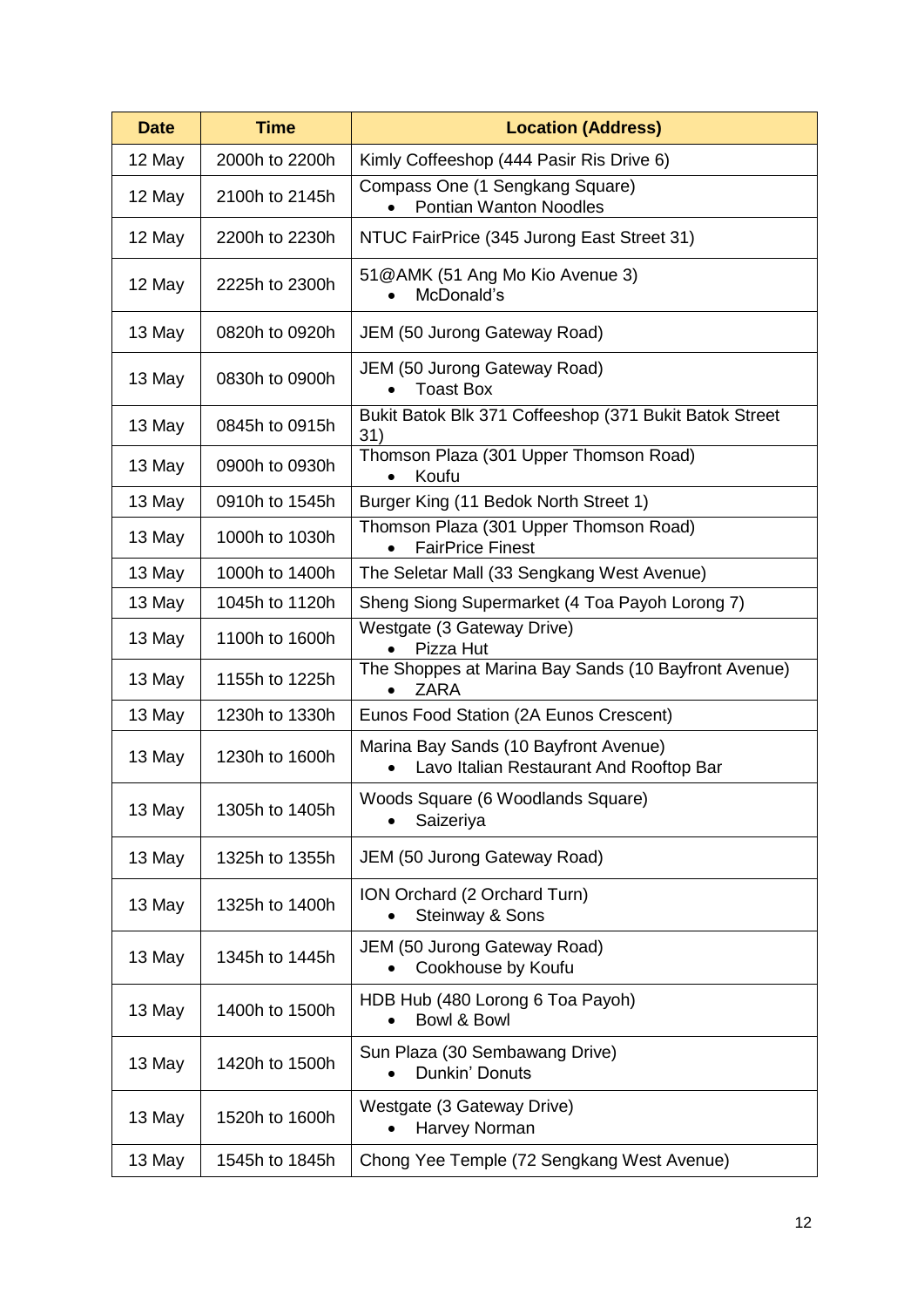| <b>Date</b> | <b>Time</b>    | <b>Location (Address)</b>                                                        |  |  |
|-------------|----------------|----------------------------------------------------------------------------------|--|--|
| 12 May      | 2000h to 2200h | Kimly Coffeeshop (444 Pasir Ris Drive 6)                                         |  |  |
| 12 May      | 2100h to 2145h | Compass One (1 Sengkang Square)<br><b>Pontian Wanton Noodles</b>                 |  |  |
| 12 May      | 2200h to 2230h | NTUC FairPrice (345 Jurong East Street 31)                                       |  |  |
| 12 May      | 2225h to 2300h | 51@AMK (51 Ang Mo Kio Avenue 3)<br>McDonald's                                    |  |  |
| 13 May      | 0820h to 0920h | JEM (50 Jurong Gateway Road)                                                     |  |  |
| 13 May      | 0830h to 0900h | JEM (50 Jurong Gateway Road)<br><b>Toast Box</b>                                 |  |  |
| 13 May      | 0845h to 0915h | Bukit Batok Blk 371 Coffeeshop (371 Bukit Batok Street<br>31)                    |  |  |
| 13 May      | 0900h to 0930h | Thomson Plaza (301 Upper Thomson Road)<br>Koufu                                  |  |  |
| 13 May      | 0910h to 1545h | Burger King (11 Bedok North Street 1)                                            |  |  |
| 13 May      | 1000h to 1030h | Thomson Plaza (301 Upper Thomson Road)<br><b>FairPrice Finest</b>                |  |  |
| 13 May      | 1000h to 1400h | The Seletar Mall (33 Sengkang West Avenue)                                       |  |  |
| 13 May      | 1045h to 1120h | Sheng Siong Supermarket (4 Toa Payoh Lorong 7)                                   |  |  |
| 13 May      | 1100h to 1600h | Westgate (3 Gateway Drive)<br>Pizza Hut                                          |  |  |
| 13 May      | 1155h to 1225h | The Shoppes at Marina Bay Sands (10 Bayfront Avenue)<br><b>ZARA</b>              |  |  |
| 13 May      | 1230h to 1330h | Eunos Food Station (2A Eunos Crescent)                                           |  |  |
| 13 May      | 1230h to 1600h | Marina Bay Sands (10 Bayfront Avenue)<br>Lavo Italian Restaurant And Rooftop Bar |  |  |
| 13 May      | 1305h to 1405h | Woods Square (6 Woodlands Square)<br>Saizeriya                                   |  |  |
| 13 May      | 1325h to 1355h | JEM (50 Jurong Gateway Road)                                                     |  |  |
| 13 May      | 1325h to 1400h | ION Orchard (2 Orchard Turn)<br>Steinway & Sons                                  |  |  |
| 13 May      | 1345h to 1445h | JEM (50 Jurong Gateway Road)<br>Cookhouse by Koufu                               |  |  |
| 13 May      | 1400h to 1500h | HDB Hub (480 Lorong 6 Toa Payoh)<br>Bowl & Bowl                                  |  |  |
| 13 May      | 1420h to 1500h | Sun Plaza (30 Sembawang Drive)<br>Dunkin' Donuts                                 |  |  |
| 13 May      | 1520h to 1600h | Westgate (3 Gateway Drive)<br>Harvey Norman<br>$\bullet$                         |  |  |
| 13 May      | 1545h to 1845h | Chong Yee Temple (72 Sengkang West Avenue)                                       |  |  |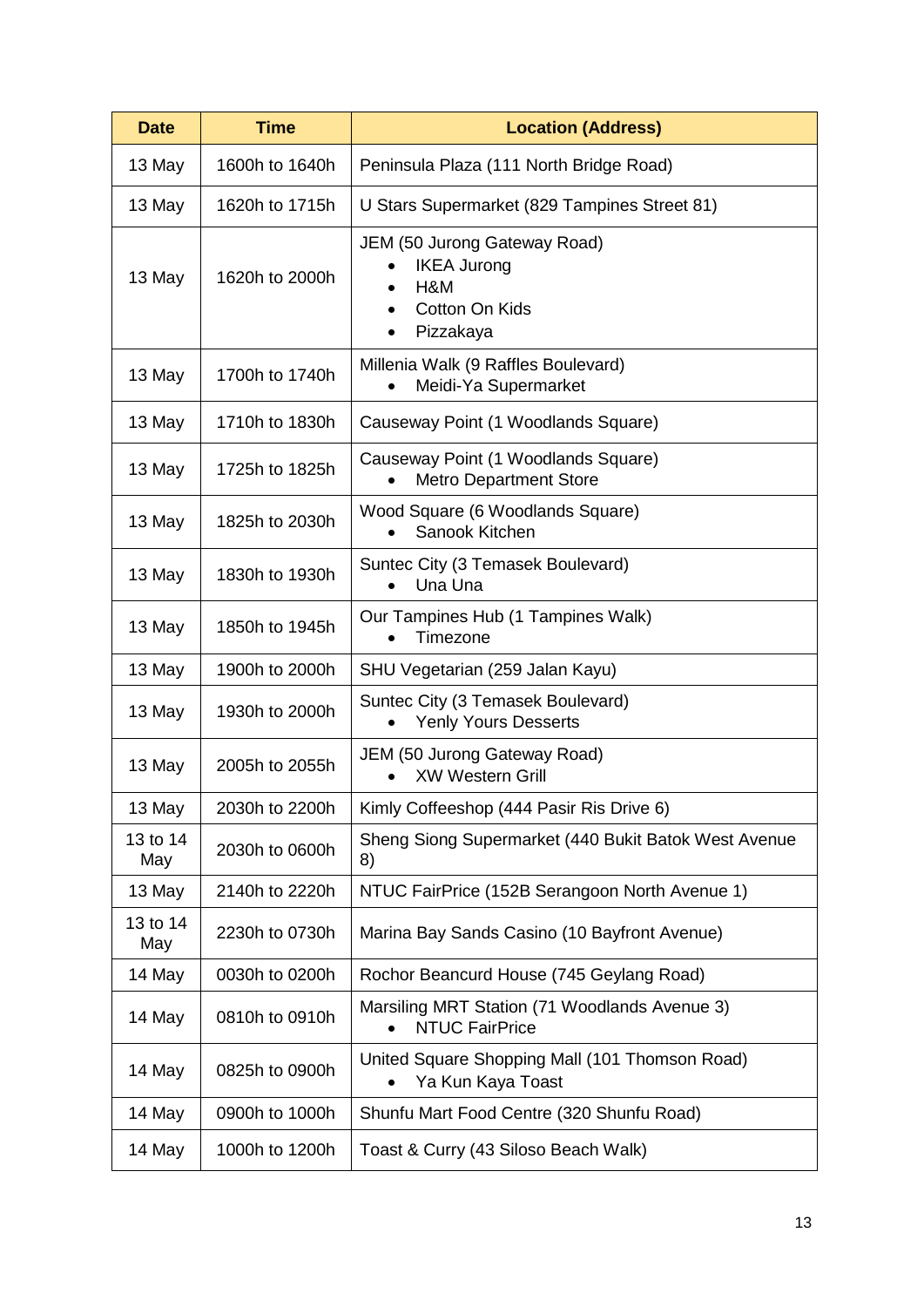| <b>Date</b>     | <b>Time</b>    | <b>Location (Address)</b>                                                                |  |  |
|-----------------|----------------|------------------------------------------------------------------------------------------|--|--|
| 13 May          | 1600h to 1640h | Peninsula Plaza (111 North Bridge Road)                                                  |  |  |
| 13 May          | 1620h to 1715h | U Stars Supermarket (829 Tampines Street 81)                                             |  |  |
| 13 May          | 1620h to 2000h | JEM (50 Jurong Gateway Road)<br><b>IKEA Jurong</b><br>H&M<br>Cotton On Kids<br>Pizzakaya |  |  |
| 13 May          | 1700h to 1740h | Millenia Walk (9 Raffles Boulevard)<br>Meidi-Ya Supermarket                              |  |  |
| 13 May          | 1710h to 1830h | Causeway Point (1 Woodlands Square)                                                      |  |  |
| 13 May          | 1725h to 1825h | Causeway Point (1 Woodlands Square)<br><b>Metro Department Store</b>                     |  |  |
| 13 May          | 1825h to 2030h | Wood Square (6 Woodlands Square)<br>Sanook Kitchen                                       |  |  |
| 13 May          | 1830h to 1930h | Suntec City (3 Temasek Boulevard)<br>Una Una                                             |  |  |
| 13 May          | 1850h to 1945h | Our Tampines Hub (1 Tampines Walk)<br>Timezone                                           |  |  |
| 13 May          | 1900h to 2000h | SHU Vegetarian (259 Jalan Kayu)                                                          |  |  |
| 13 May          | 1930h to 2000h | Suntec City (3 Temasek Boulevard)<br><b>Yenly Yours Desserts</b>                         |  |  |
| 13 May          | 2005h to 2055h | JEM (50 Jurong Gateway Road)<br><b>XW Western Grill</b>                                  |  |  |
| 13 May          | 2030h to 2200h | Kimly Coffeeshop (444 Pasir Ris Drive 6)                                                 |  |  |
| 13 to 14<br>May | 2030h to 0600h | Sheng Siong Supermarket (440 Bukit Batok West Avenue<br>8)                               |  |  |
| 13 May          | 2140h to 2220h | NTUC FairPrice (152B Serangoon North Avenue 1)                                           |  |  |
| 13 to 14<br>May | 2230h to 0730h | Marina Bay Sands Casino (10 Bayfront Avenue)                                             |  |  |
| 14 May          | 0030h to 0200h | Rochor Beancurd House (745 Geylang Road)                                                 |  |  |
| 14 May          | 0810h to 0910h | Marsiling MRT Station (71 Woodlands Avenue 3)<br><b>NTUC FairPrice</b>                   |  |  |
| 14 May          | 0825h to 0900h | United Square Shopping Mall (101 Thomson Road)<br>Ya Kun Kaya Toast                      |  |  |
| 14 May          | 0900h to 1000h | Shunfu Mart Food Centre (320 Shunfu Road)                                                |  |  |
| 14 May          | 1000h to 1200h | Toast & Curry (43 Siloso Beach Walk)                                                     |  |  |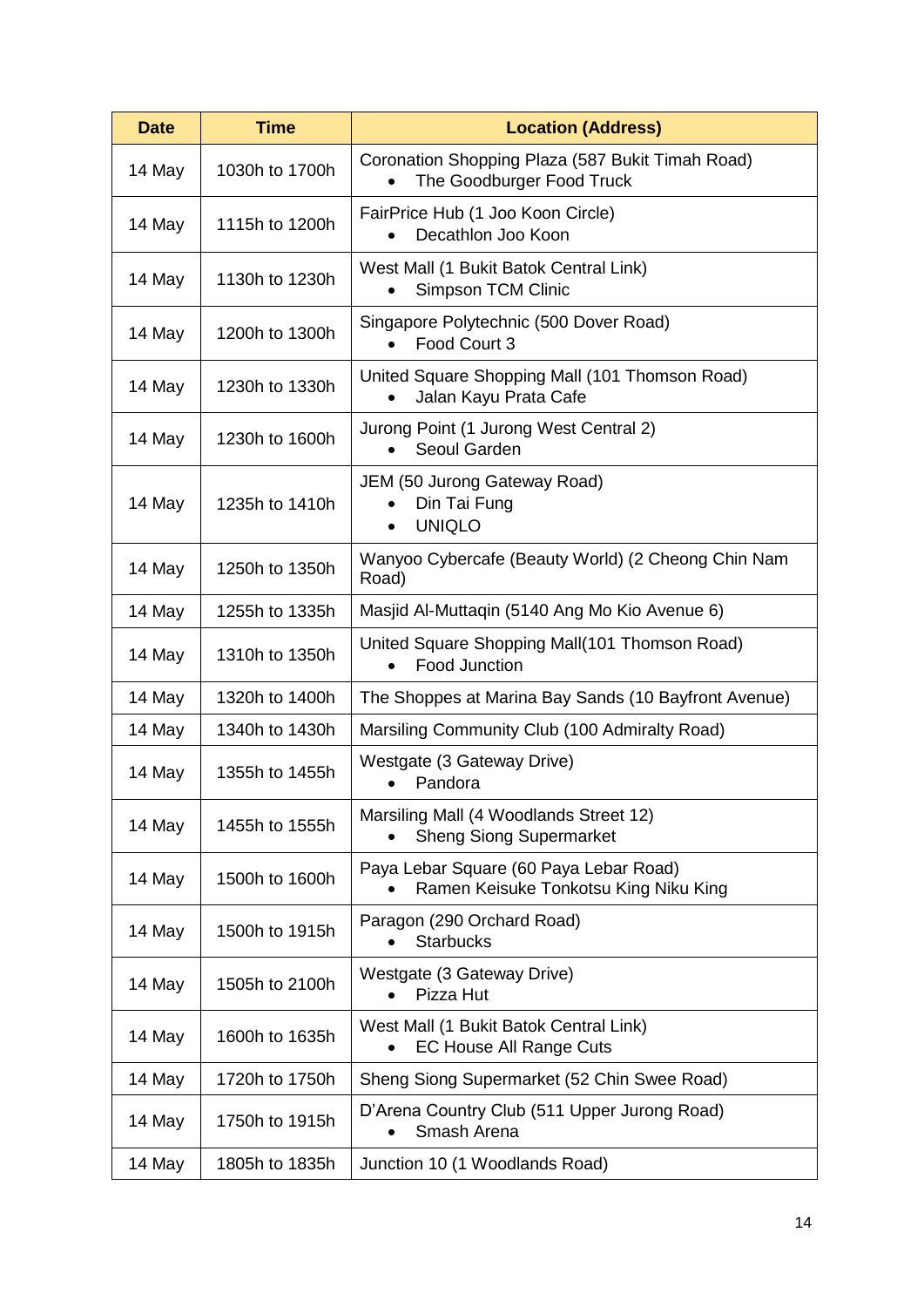| <b>Time</b><br><b>Date</b> |                | <b>Location (Address)</b>                                                       |  |  |  |
|----------------------------|----------------|---------------------------------------------------------------------------------|--|--|--|
| 14 May                     | 1030h to 1700h | Coronation Shopping Plaza (587 Bukit Timah Road)<br>The Goodburger Food Truck   |  |  |  |
| 14 May                     | 1115h to 1200h | FairPrice Hub (1 Joo Koon Circle)<br>Decathlon Joo Koon                         |  |  |  |
| 14 May                     | 1130h to 1230h | West Mall (1 Bukit Batok Central Link)<br><b>Simpson TCM Clinic</b>             |  |  |  |
| 14 May                     | 1200h to 1300h | Singapore Polytechnic (500 Dover Road)<br>Food Court 3                          |  |  |  |
| 14 May                     | 1230h to 1330h | United Square Shopping Mall (101 Thomson Road)<br>Jalan Kayu Prata Cafe         |  |  |  |
| 14 May                     | 1230h to 1600h | Jurong Point (1 Jurong West Central 2)<br>Seoul Garden<br>$\bullet$             |  |  |  |
| 14 May                     | 1235h to 1410h | JEM (50 Jurong Gateway Road)<br>Din Tai Fung<br><b>UNIQLO</b><br>$\bullet$      |  |  |  |
| 14 May                     | 1250h to 1350h | Wanyoo Cybercafe (Beauty World) (2 Cheong Chin Nam<br>Road)                     |  |  |  |
| 14 May                     | 1255h to 1335h | Masjid Al-Muttaqin (5140 Ang Mo Kio Avenue 6)                                   |  |  |  |
| 14 May                     | 1310h to 1350h | United Square Shopping Mall(101 Thomson Road)<br>Food Junction                  |  |  |  |
| 14 May                     | 1320h to 1400h | The Shoppes at Marina Bay Sands (10 Bayfront Avenue)                            |  |  |  |
| 14 May                     | 1340h to 1430h | Marsiling Community Club (100 Admiralty Road)                                   |  |  |  |
| 14 May                     | 1355h to 1455h | Westgate (3 Gateway Drive)<br>Pandora                                           |  |  |  |
| 14 May                     | 1455h to 1555h | Marsiling Mall (4 Woodlands Street 12)<br><b>Sheng Siong Supermarket</b>        |  |  |  |
| 14 May                     | 1500h to 1600h | Paya Lebar Square (60 Paya Lebar Road)<br>Ramen Keisuke Tonkotsu King Niku King |  |  |  |
| 14 May                     | 1500h to 1915h | Paragon (290 Orchard Road)<br><b>Starbucks</b>                                  |  |  |  |
| 14 May                     | 1505h to 2100h | Westgate (3 Gateway Drive)<br>Pizza Hut                                         |  |  |  |
| 14 May                     | 1600h to 1635h | West Mall (1 Bukit Batok Central Link)<br><b>EC House All Range Cuts</b>        |  |  |  |
| 14 May                     | 1720h to 1750h | Sheng Siong Supermarket (52 Chin Swee Road)                                     |  |  |  |
| 14 May                     | 1750h to 1915h | D'Arena Country Club (511 Upper Jurong Road)<br>Smash Arena                     |  |  |  |
| 14 May                     | 1805h to 1835h | Junction 10 (1 Woodlands Road)                                                  |  |  |  |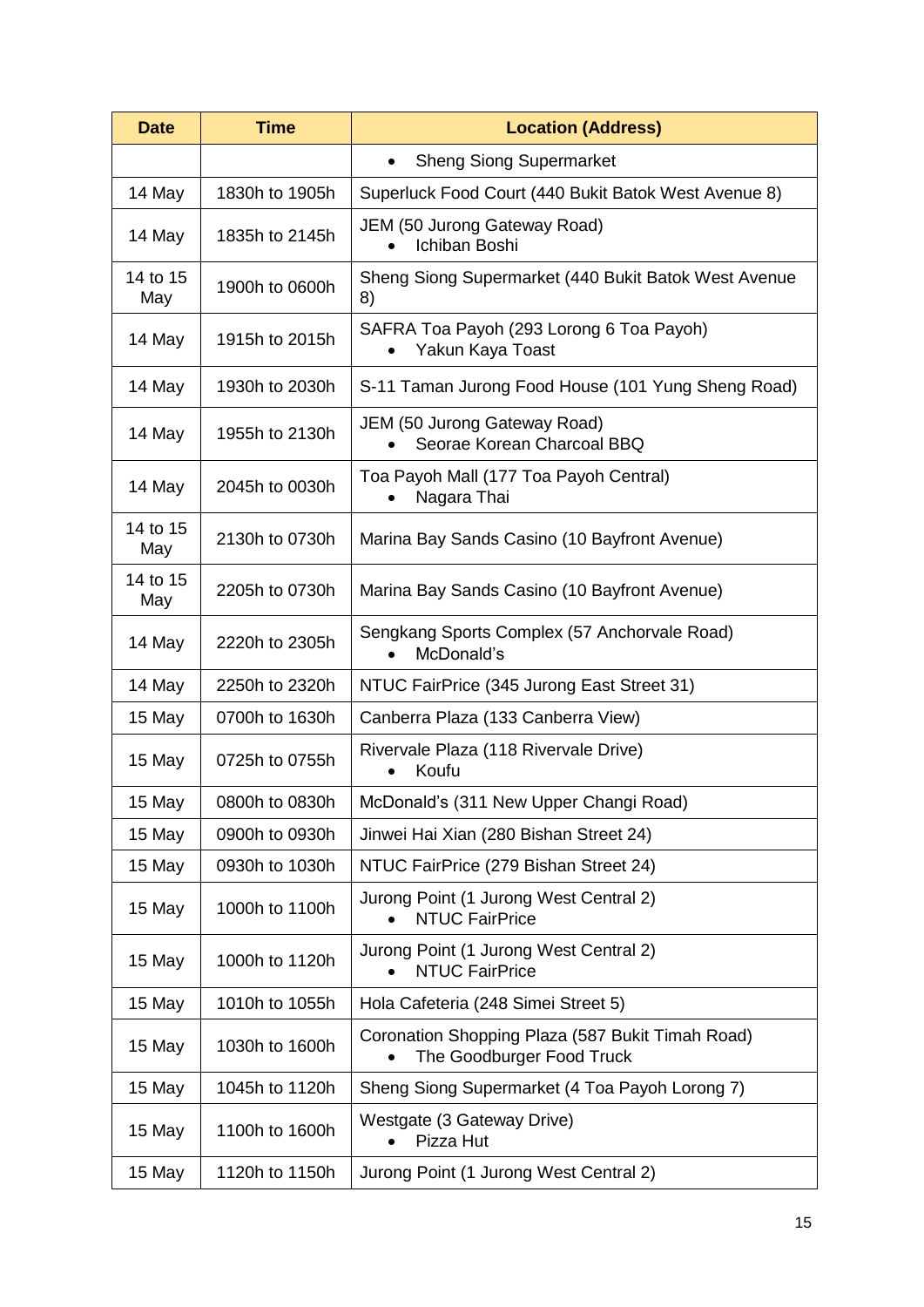| <b>Time</b><br><b>Date</b> |                | <b>Location (Address)</b>                                                     |  |  |  |
|----------------------------|----------------|-------------------------------------------------------------------------------|--|--|--|
|                            |                | <b>Sheng Siong Supermarket</b><br>$\bullet$                                   |  |  |  |
| 14 May                     | 1830h to 1905h | Superluck Food Court (440 Bukit Batok West Avenue 8)                          |  |  |  |
| 14 May                     | 1835h to 2145h | JEM (50 Jurong Gateway Road)<br>Ichiban Boshi                                 |  |  |  |
| 14 to 15<br>May            | 1900h to 0600h | Sheng Siong Supermarket (440 Bukit Batok West Avenue<br>8)                    |  |  |  |
| 14 May                     | 1915h to 2015h | SAFRA Toa Payoh (293 Lorong 6 Toa Payoh)<br>Yakun Kaya Toast                  |  |  |  |
| 14 May                     | 1930h to 2030h | S-11 Taman Jurong Food House (101 Yung Sheng Road)                            |  |  |  |
| 14 May                     | 1955h to 2130h | <b>JEM (50 Jurong Gateway Road)</b><br>Seorae Korean Charcoal BBQ             |  |  |  |
| 14 May                     | 2045h to 0030h | Toa Payoh Mall (177 Toa Payoh Central)<br>Nagara Thai                         |  |  |  |
| 14 to 15<br>May            | 2130h to 0730h | Marina Bay Sands Casino (10 Bayfront Avenue)                                  |  |  |  |
| 14 to 15<br>May            | 2205h to 0730h | Marina Bay Sands Casino (10 Bayfront Avenue)                                  |  |  |  |
| 14 May                     | 2220h to 2305h | Sengkang Sports Complex (57 Anchorvale Road)<br>McDonald's                    |  |  |  |
| 14 May                     | 2250h to 2320h | NTUC FairPrice (345 Jurong East Street 31)                                    |  |  |  |
| 15 May                     | 0700h to 1630h | Canberra Plaza (133 Canberra View)                                            |  |  |  |
| 15 May                     | 0725h to 0755h | Rivervale Plaza (118 Rivervale Drive)<br>Koufu                                |  |  |  |
| 15 May                     | 0800h to 0830h | McDonald's (311 New Upper Changi Road)                                        |  |  |  |
| 15 May                     | 0900h to 0930h | Jinwei Hai Xian (280 Bishan Street 24)                                        |  |  |  |
| 15 May                     | 0930h to 1030h | NTUC FairPrice (279 Bishan Street 24)                                         |  |  |  |
| 15 May                     | 1000h to 1100h | Jurong Point (1 Jurong West Central 2)<br><b>NTUC FairPrice</b>               |  |  |  |
| 15 May                     | 1000h to 1120h | Jurong Point (1 Jurong West Central 2)<br><b>NTUC FairPrice</b>               |  |  |  |
| 15 May                     | 1010h to 1055h | Hola Cafeteria (248 Simei Street 5)                                           |  |  |  |
| 15 May                     | 1030h to 1600h | Coronation Shopping Plaza (587 Bukit Timah Road)<br>The Goodburger Food Truck |  |  |  |
| 15 May                     | 1045h to 1120h | Sheng Siong Supermarket (4 Toa Payoh Lorong 7)                                |  |  |  |
| 15 May                     | 1100h to 1600h | Westgate (3 Gateway Drive)<br>Pizza Hut                                       |  |  |  |
| 15 May                     | 1120h to 1150h | Jurong Point (1 Jurong West Central 2)                                        |  |  |  |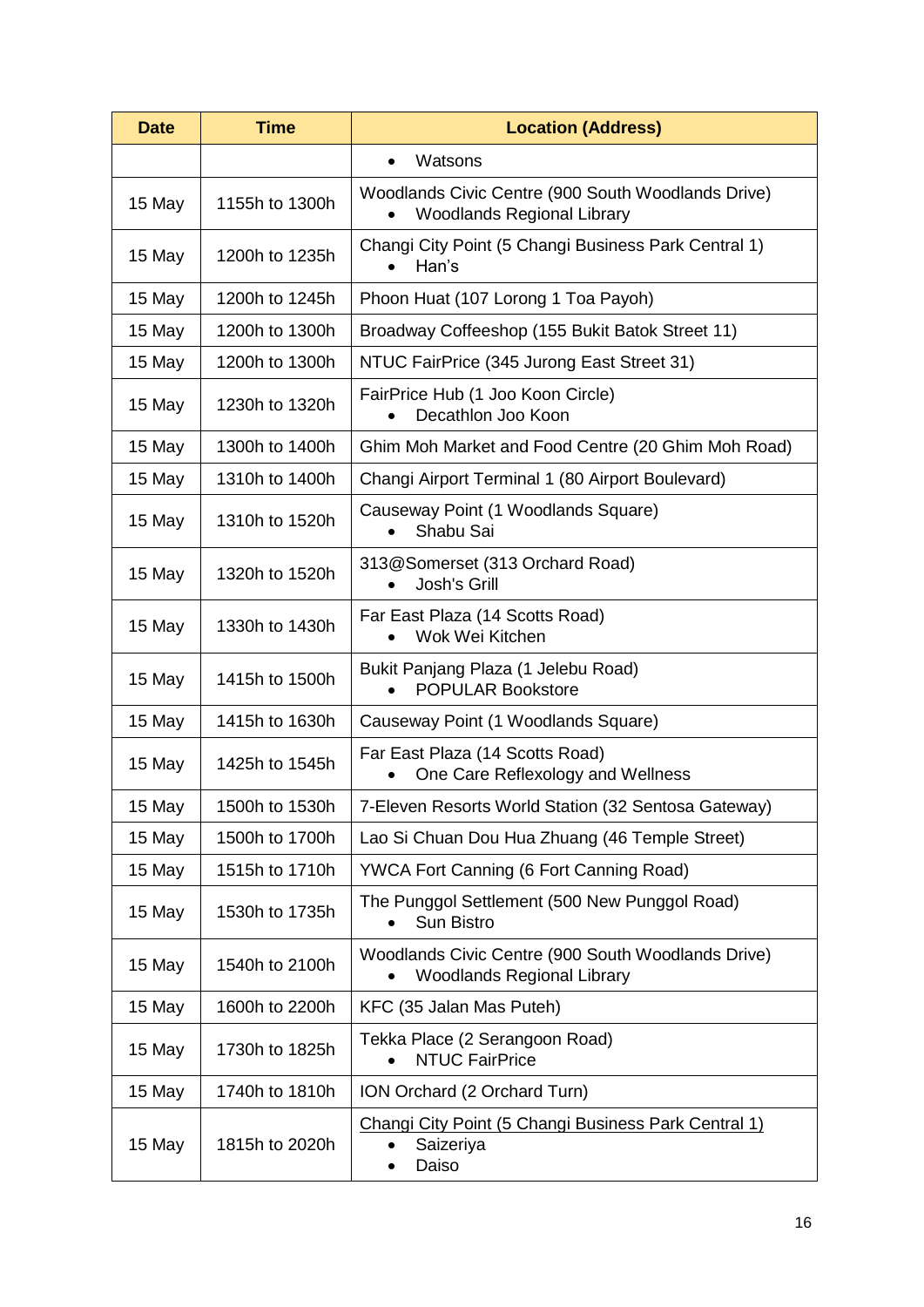| <b>Time</b><br><b>Date</b> |                | <b>Location (Address)</b>                                                               |  |  |
|----------------------------|----------------|-----------------------------------------------------------------------------------------|--|--|
|                            |                | Watsons<br>$\bullet$                                                                    |  |  |
| 15 May                     | 1155h to 1300h | Woodlands Civic Centre (900 South Woodlands Drive)<br><b>Woodlands Regional Library</b> |  |  |
| 15 May                     | 1200h to 1235h | Changi City Point (5 Changi Business Park Central 1)<br>Han's                           |  |  |
| 15 May                     | 1200h to 1245h | Phoon Huat (107 Lorong 1 Toa Payoh)                                                     |  |  |
| 15 May                     | 1200h to 1300h | Broadway Coffeeshop (155 Bukit Batok Street 11)                                         |  |  |
| 15 May                     | 1200h to 1300h | NTUC FairPrice (345 Jurong East Street 31)                                              |  |  |
| 15 May                     | 1230h to 1320h | FairPrice Hub (1 Joo Koon Circle)<br>Decathlon Joo Koon                                 |  |  |
| 15 May                     | 1300h to 1400h | Ghim Moh Market and Food Centre (20 Ghim Moh Road)                                      |  |  |
| 15 May                     | 1310h to 1400h | Changi Airport Terminal 1 (80 Airport Boulevard)                                        |  |  |
| 15 May                     | 1310h to 1520h | Causeway Point (1 Woodlands Square)<br>Shabu Sai                                        |  |  |
| 15 May                     | 1320h to 1520h | 313@Somerset (313 Orchard Road)<br>Josh's Grill                                         |  |  |
| 15 May                     | 1330h to 1430h | Far East Plaza (14 Scotts Road)<br>Wok Wei Kitchen                                      |  |  |
| 15 May                     | 1415h to 1500h | Bukit Panjang Plaza (1 Jelebu Road)<br><b>POPULAR Bookstore</b>                         |  |  |
| 15 May                     | 1415h to 1630h | Causeway Point (1 Woodlands Square)                                                     |  |  |
| 15 May                     | 1425h to 1545h | Far East Plaza (14 Scotts Road)<br>One Care Reflexology and Wellness                    |  |  |
| 15 May                     | 1500h to 1530h | 7-Eleven Resorts World Station (32 Sentosa Gateway)                                     |  |  |
| 15 May                     | 1500h to 1700h | Lao Si Chuan Dou Hua Zhuang (46 Temple Street)                                          |  |  |
| 15 May                     | 1515h to 1710h | <b>YWCA Fort Canning (6 Fort Canning Road)</b>                                          |  |  |
| 15 May                     | 1530h to 1735h | The Punggol Settlement (500 New Punggol Road)<br><b>Sun Bistro</b>                      |  |  |
| 15 May                     | 1540h to 2100h | Woodlands Civic Centre (900 South Woodlands Drive)<br><b>Woodlands Regional Library</b> |  |  |
| 15 May                     | 1600h to 2200h | KFC (35 Jalan Mas Puteh)                                                                |  |  |
| 15 May                     | 1730h to 1825h | Tekka Place (2 Serangoon Road)<br><b>NTUC FairPrice</b>                                 |  |  |
| 15 May                     | 1740h to 1810h | ION Orchard (2 Orchard Turn)                                                            |  |  |
| 15 May                     | 1815h to 2020h | Changi City Point (5 Changi Business Park Central 1)<br>Saizeriya<br>Daiso              |  |  |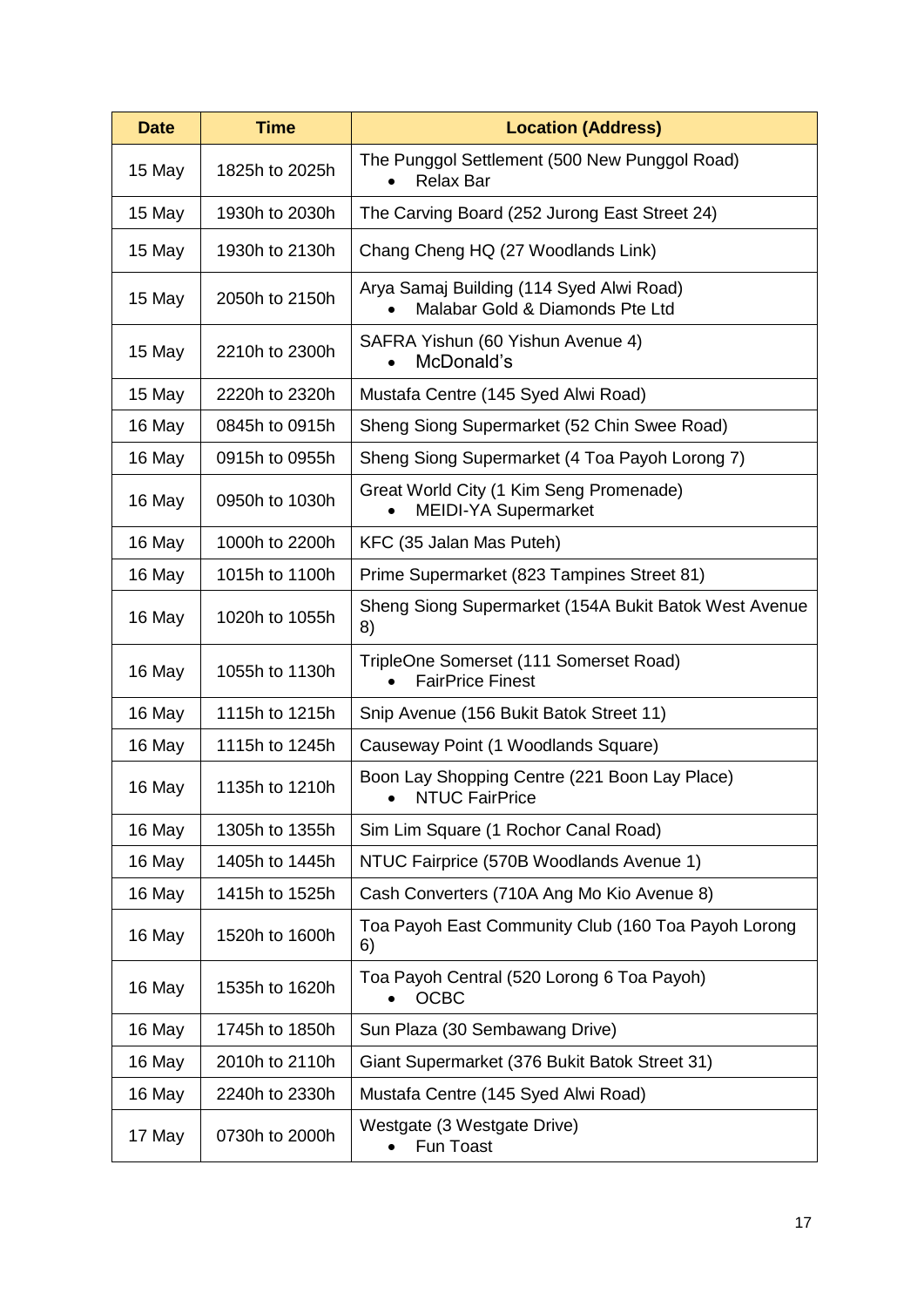| <b>Date</b> | <b>Time</b>    | <b>Location (Address)</b>                                                           |
|-------------|----------------|-------------------------------------------------------------------------------------|
| 15 May      | 1825h to 2025h | The Punggol Settlement (500 New Punggol Road)<br><b>Relax Bar</b>                   |
| 15 May      | 1930h to 2030h | The Carving Board (252 Jurong East Street 24)                                       |
| 15 May      | 1930h to 2130h | Chang Cheng HQ (27 Woodlands Link)                                                  |
| 15 May      | 2050h to 2150h | Arya Samaj Building (114 Syed Alwi Road)<br>Malabar Gold & Diamonds Pte Ltd         |
| 15 May      | 2210h to 2300h | SAFRA Yishun (60 Yishun Avenue 4)<br>McDonald's                                     |
| 15 May      | 2220h to 2320h | Mustafa Centre (145 Syed Alwi Road)                                                 |
| 16 May      | 0845h to 0915h | Sheng Siong Supermarket (52 Chin Swee Road)                                         |
| 16 May      | 0915h to 0955h | Sheng Siong Supermarket (4 Toa Payoh Lorong 7)                                      |
| 16 May      | 0950h to 1030h | Great World City (1 Kim Seng Promenade)<br><b>MEIDI-YA Supermarket</b>              |
| 16 May      | 1000h to 2200h | KFC (35 Jalan Mas Puteh)                                                            |
| 16 May      | 1015h to 1100h | Prime Supermarket (823 Tampines Street 81)                                          |
| 16 May      | 1020h to 1055h | Sheng Siong Supermarket (154A Bukit Batok West Avenue<br>8)                         |
| 16 May      | 1055h to 1130h | TripleOne Somerset (111 Somerset Road)<br><b>FairPrice Finest</b>                   |
| 16 May      | 1115h to 1215h | Snip Avenue (156 Bukit Batok Street 11)                                             |
| 16 May      | 1115h to 1245h | Causeway Point (1 Woodlands Square)                                                 |
| 16 May      | 1135h to 1210h | Boon Lay Shopping Centre (221 Boon Lay Place)<br><b>NTUC FairPrice</b><br>$\bullet$ |
| 16 May      | 1305h to 1355h | Sim Lim Square (1 Rochor Canal Road)                                                |
| 16 May      | 1405h to 1445h | NTUC Fairprice (570B Woodlands Avenue 1)                                            |
| 16 May      | 1415h to 1525h | Cash Converters (710A Ang Mo Kio Avenue 8)                                          |
| 16 May      | 1520h to 1600h | Toa Payoh East Community Club (160 Toa Payoh Lorong<br>6)                           |
| 16 May      | 1535h to 1620h | Toa Payoh Central (520 Lorong 6 Toa Payoh)<br><b>OCBC</b>                           |
| 16 May      | 1745h to 1850h | Sun Plaza (30 Sembawang Drive)                                                      |
| 16 May      | 2010h to 2110h | Giant Supermarket (376 Bukit Batok Street 31)                                       |
| 16 May      | 2240h to 2330h | Mustafa Centre (145 Syed Alwi Road)                                                 |
| 17 May      | 0730h to 2000h | Westgate (3 Westgate Drive)<br>Fun Toast                                            |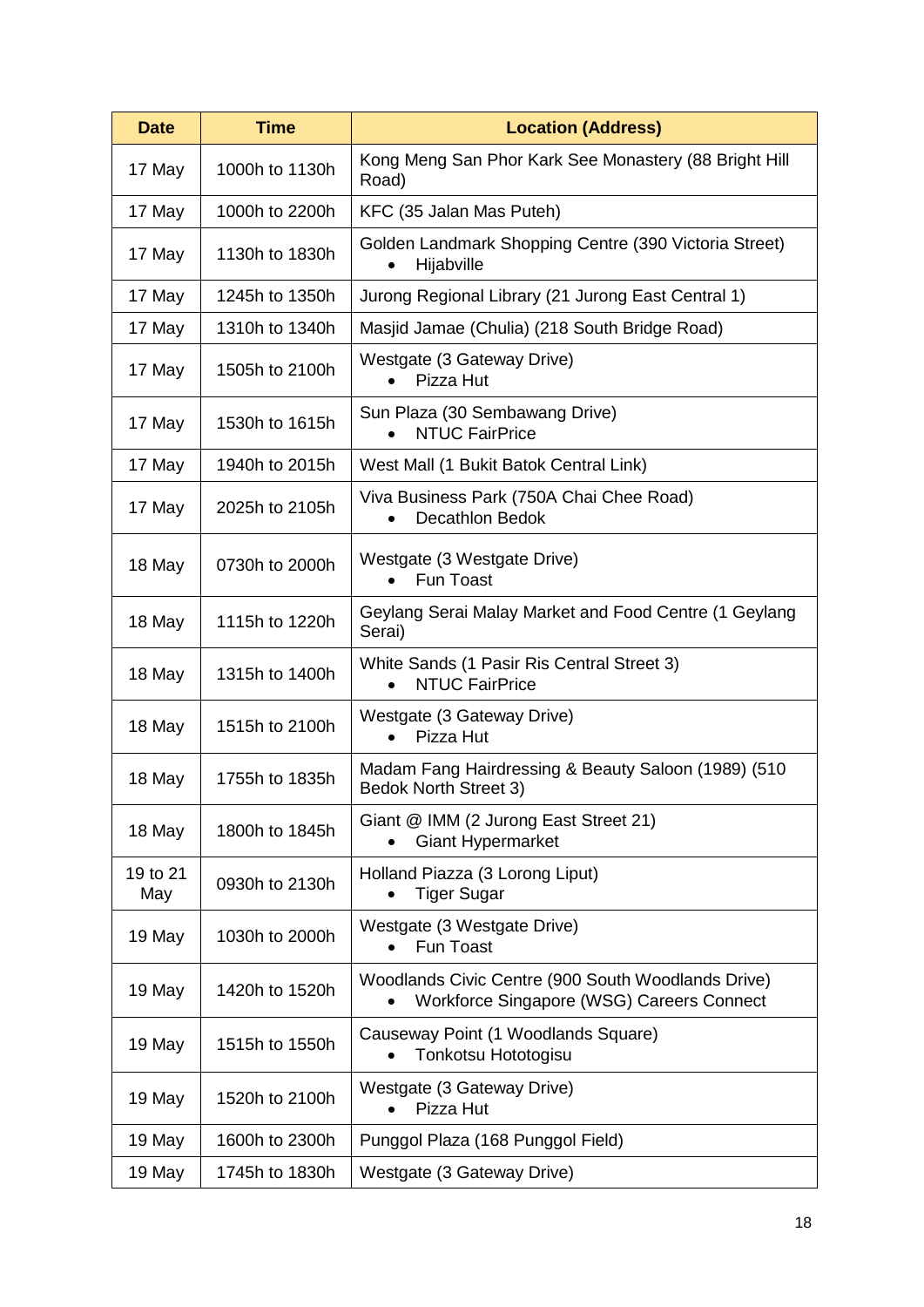| <b>Date</b>     | <b>Time</b>    | <b>Location (Address)</b>                                                                       |
|-----------------|----------------|-------------------------------------------------------------------------------------------------|
| 17 May          | 1000h to 1130h | Kong Meng San Phor Kark See Monastery (88 Bright Hill<br>Road)                                  |
| 17 May          | 1000h to 2200h | KFC (35 Jalan Mas Puteh)                                                                        |
| 17 May          | 1130h to 1830h | Golden Landmark Shopping Centre (390 Victoria Street)<br>Hijabville<br>$\bullet$                |
| 17 May          | 1245h to 1350h | Jurong Regional Library (21 Jurong East Central 1)                                              |
| 17 May          | 1310h to 1340h | Masjid Jamae (Chulia) (218 South Bridge Road)                                                   |
| 17 May          | 1505h to 2100h | Westgate (3 Gateway Drive)<br>Pizza Hut                                                         |
| 17 May          | 1530h to 1615h | Sun Plaza (30 Sembawang Drive)<br><b>NTUC FairPrice</b>                                         |
| 17 May          | 1940h to 2015h | West Mall (1 Bukit Batok Central Link)                                                          |
| 17 May          | 2025h to 2105h | Viva Business Park (750A Chai Chee Road)<br><b>Decathlon Bedok</b><br>$\bullet$                 |
| 18 May          | 0730h to 2000h | Westgate (3 Westgate Drive)<br><b>Fun Toast</b><br>$\bullet$                                    |
| 18 May          | 1115h to 1220h | Geylang Serai Malay Market and Food Centre (1 Geylang<br>Serai)                                 |
| 18 May          | 1315h to 1400h | White Sands (1 Pasir Ris Central Street 3)<br><b>NTUC FairPrice</b>                             |
| 18 May          | 1515h to 2100h | Westgate (3 Gateway Drive)<br>Pizza Hut<br>$\bullet$                                            |
| 18 May          | 1755h to 1835h | Madam Fang Hairdressing & Beauty Saloon (1989) (510<br><b>Bedok North Street 3)</b>             |
| 18 May          | 1800h to 1845h | Giant @ IMM (2 Jurong East Street 21)<br><b>Giant Hypermarket</b>                               |
| 19 to 21<br>May | 0930h to 2130h | Holland Piazza (3 Lorong Liput)<br><b>Tiger Sugar</b>                                           |
| 19 May          | 1030h to 2000h | Westgate (3 Westgate Drive)<br>Fun Toast                                                        |
| 19 May          | 1420h to 1520h | Woodlands Civic Centre (900 South Woodlands Drive)<br>Workforce Singapore (WSG) Careers Connect |
| 19 May          | 1515h to 1550h | Causeway Point (1 Woodlands Square)<br>Tonkotsu Hototogisu                                      |
| 19 May          | 1520h to 2100h | Westgate (3 Gateway Drive)<br>Pizza Hut                                                         |
| 19 May          | 1600h to 2300h | Punggol Plaza (168 Punggol Field)                                                               |
| 19 May          | 1745h to 1830h | Westgate (3 Gateway Drive)                                                                      |